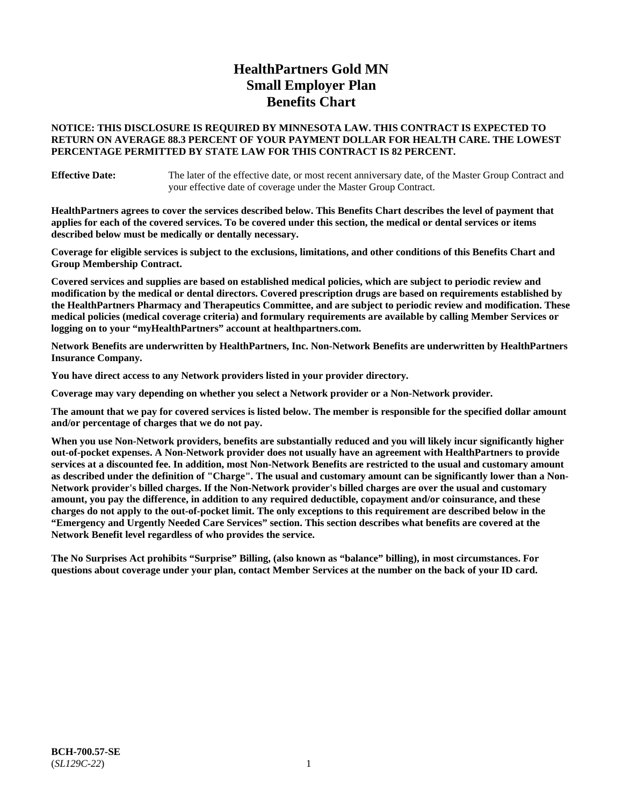# **HealthPartners Gold MN Small Employer Plan Benefits Chart**

### **NOTICE: THIS DISCLOSURE IS REQUIRED BY MINNESOTA LAW. THIS CONTRACT IS EXPECTED TO RETURN ON AVERAGE 88.3 PERCENT OF YOUR PAYMENT DOLLAR FOR HEALTH CARE. THE LOWEST PERCENTAGE PERMITTED BY STATE LAW FOR THIS CONTRACT IS 82 PERCENT.**

**Effective Date:** The later of the effective date, or most recent anniversary date, of the Master Group Contract and your effective date of coverage under the Master Group Contract.

**HealthPartners agrees to cover the services described below. This Benefits Chart describes the level of payment that applies for each of the covered services. To be covered under this section, the medical or dental services or items described below must be medically or dentally necessary.**

**Coverage for eligible services is subject to the exclusions, limitations, and other conditions of this Benefits Chart and Group Membership Contract.**

**Covered services and supplies are based on established medical policies, which are subject to periodic review and modification by the medical or dental directors. Covered prescription drugs are based on requirements established by the HealthPartners Pharmacy and Therapeutics Committee, and are subject to periodic review and modification. These medical policies (medical coverage criteria) and formulary requirements are available by calling Member Services or logging on to your "myHealthPartners" account at [healthpartners.com.](https://www.healthpartners.com/hp/index.html)**

**Network Benefits are underwritten by HealthPartners, Inc. Non-Network Benefits are underwritten by HealthPartners Insurance Company.** 

**You have direct access to any Network providers listed in your provider directory.**

**Coverage may vary depending on whether you select a Network provider or a Non-Network provider.**

**The amount that we pay for covered services is listed below. The member is responsible for the specified dollar amount and/or percentage of charges that we do not pay.**

**When you use Non-Network providers, benefits are substantially reduced and you will likely incur significantly higher out-of-pocket expenses. A Non-Network provider does not usually have an agreement with HealthPartners to provide services at a discounted fee. In addition, most Non-Network Benefits are restricted to the usual and customary amount as described under the definition of "Charge". The usual and customary amount can be significantly lower than a Non-Network provider's billed charges. If the Non-Network provider's billed charges are over the usual and customary amount, you pay the difference, in addition to any required deductible, copayment and/or coinsurance, and these charges do not apply to the out-of-pocket limit. The only exceptions to this requirement are described below in the "Emergency and Urgently Needed Care Services" section. This section describes what benefits are covered at the Network Benefit level regardless of who provides the service.**

**The No Surprises Act prohibits "Surprise" Billing, (also known as "balance" billing), in most circumstances. For questions about coverage under your plan, contact Member Services at the number on the back of your ID card.**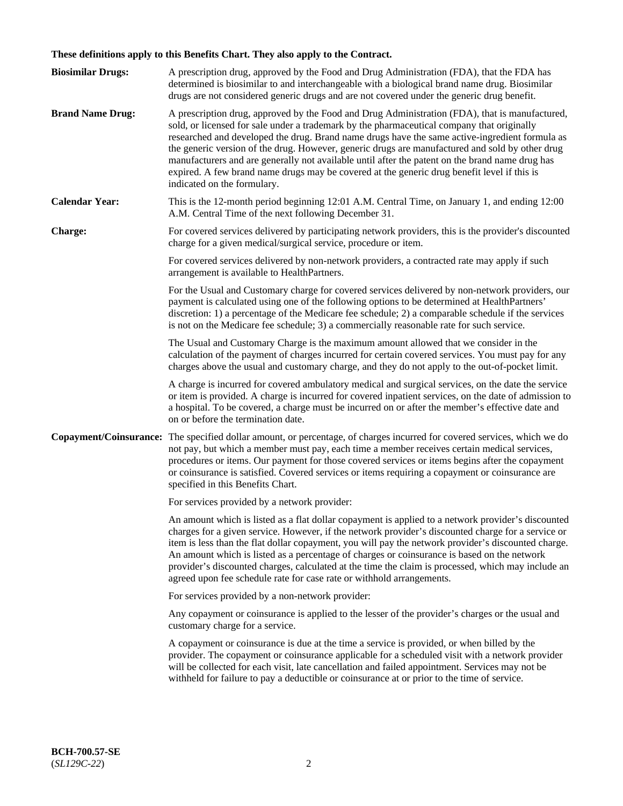# **These definitions apply to this Benefits Chart. They also apply to the Contract.**

| <b>Biosimilar Drugs:</b> | A prescription drug, approved by the Food and Drug Administration (FDA), that the FDA has<br>determined is biosimilar to and interchangeable with a biological brand name drug. Biosimilar<br>drugs are not considered generic drugs and are not covered under the generic drug benefit.                                                                                                                                                                                                                                                                                                                                           |
|--------------------------|------------------------------------------------------------------------------------------------------------------------------------------------------------------------------------------------------------------------------------------------------------------------------------------------------------------------------------------------------------------------------------------------------------------------------------------------------------------------------------------------------------------------------------------------------------------------------------------------------------------------------------|
| <b>Brand Name Drug:</b>  | A prescription drug, approved by the Food and Drug Administration (FDA), that is manufactured,<br>sold, or licensed for sale under a trademark by the pharmaceutical company that originally<br>researched and developed the drug. Brand name drugs have the same active-ingredient formula as<br>the generic version of the drug. However, generic drugs are manufactured and sold by other drug<br>manufacturers and are generally not available until after the patent on the brand name drug has<br>expired. A few brand name drugs may be covered at the generic drug benefit level if this is<br>indicated on the formulary. |
| <b>Calendar Year:</b>    | This is the 12-month period beginning 12:01 A.M. Central Time, on January 1, and ending 12:00<br>A.M. Central Time of the next following December 31.                                                                                                                                                                                                                                                                                                                                                                                                                                                                              |
| <b>Charge:</b>           | For covered services delivered by participating network providers, this is the provider's discounted<br>charge for a given medical/surgical service, procedure or item.                                                                                                                                                                                                                                                                                                                                                                                                                                                            |
|                          | For covered services delivered by non-network providers, a contracted rate may apply if such<br>arrangement is available to HealthPartners.                                                                                                                                                                                                                                                                                                                                                                                                                                                                                        |
|                          | For the Usual and Customary charge for covered services delivered by non-network providers, our<br>payment is calculated using one of the following options to be determined at HealthPartners'<br>discretion: 1) a percentage of the Medicare fee schedule; 2) a comparable schedule if the services<br>is not on the Medicare fee schedule; 3) a commercially reasonable rate for such service.                                                                                                                                                                                                                                  |
|                          | The Usual and Customary Charge is the maximum amount allowed that we consider in the<br>calculation of the payment of charges incurred for certain covered services. You must pay for any<br>charges above the usual and customary charge, and they do not apply to the out-of-pocket limit.                                                                                                                                                                                                                                                                                                                                       |
|                          | A charge is incurred for covered ambulatory medical and surgical services, on the date the service<br>or item is provided. A charge is incurred for covered inpatient services, on the date of admission to<br>a hospital. To be covered, a charge must be incurred on or after the member's effective date and<br>on or before the termination date.                                                                                                                                                                                                                                                                              |
| Copayment/Coinsurance:   | The specified dollar amount, or percentage, of charges incurred for covered services, which we do<br>not pay, but which a member must pay, each time a member receives certain medical services,<br>procedures or items. Our payment for those covered services or items begins after the copayment<br>or coinsurance is satisfied. Covered services or items requiring a copayment or coinsurance are<br>specified in this Benefits Chart.                                                                                                                                                                                        |
|                          | For services provided by a network provider:                                                                                                                                                                                                                                                                                                                                                                                                                                                                                                                                                                                       |
|                          | An amount which is listed as a flat dollar copayment is applied to a network provider's discounted<br>charges for a given service. However, if the network provider's discounted charge for a service or<br>item is less than the flat dollar copayment, you will pay the network provider's discounted charge.<br>An amount which is listed as a percentage of charges or coinsurance is based on the network<br>provider's discounted charges, calculated at the time the claim is processed, which may include an<br>agreed upon fee schedule rate for case rate or withhold arrangements.                                      |
|                          | For services provided by a non-network provider:                                                                                                                                                                                                                                                                                                                                                                                                                                                                                                                                                                                   |
|                          | Any copayment or coinsurance is applied to the lesser of the provider's charges or the usual and<br>customary charge for a service.                                                                                                                                                                                                                                                                                                                                                                                                                                                                                                |
|                          | A copayment or coinsurance is due at the time a service is provided, or when billed by the<br>provider. The copayment or coinsurance applicable for a scheduled visit with a network provider<br>will be collected for each visit, late cancellation and failed appointment. Services may not be<br>withheld for failure to pay a deductible or coinsurance at or prior to the time of service.                                                                                                                                                                                                                                    |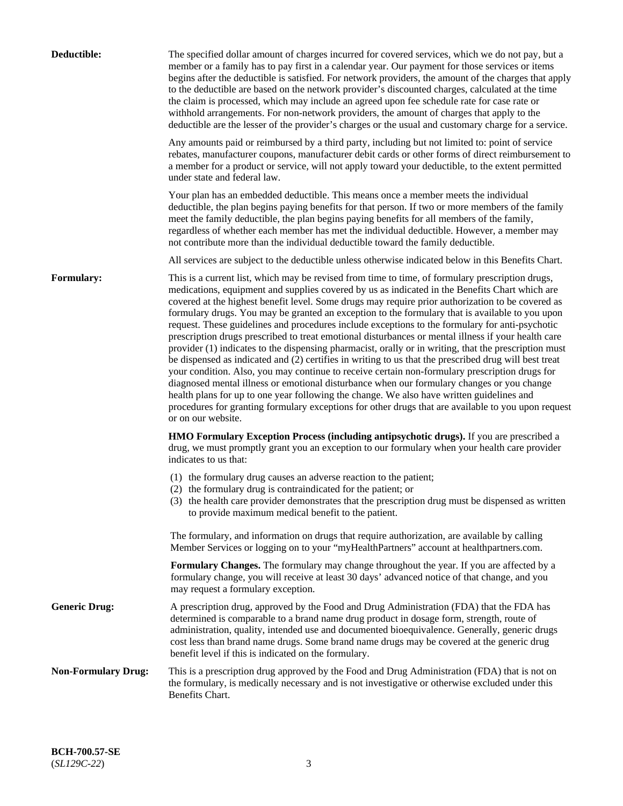| Deductible:                | The specified dollar amount of charges incurred for covered services, which we do not pay, but a                                                                                                                                                                                                                                                                                                                                                                                                                                                                                                                                                                                                                                                                                                                                                                                                                                                                                                                                                                                                                                                                                                                                                                 |
|----------------------------|------------------------------------------------------------------------------------------------------------------------------------------------------------------------------------------------------------------------------------------------------------------------------------------------------------------------------------------------------------------------------------------------------------------------------------------------------------------------------------------------------------------------------------------------------------------------------------------------------------------------------------------------------------------------------------------------------------------------------------------------------------------------------------------------------------------------------------------------------------------------------------------------------------------------------------------------------------------------------------------------------------------------------------------------------------------------------------------------------------------------------------------------------------------------------------------------------------------------------------------------------------------|
|                            | member or a family has to pay first in a calendar year. Our payment for those services or items<br>begins after the deductible is satisfied. For network providers, the amount of the charges that apply<br>to the deductible are based on the network provider's discounted charges, calculated at the time<br>the claim is processed, which may include an agreed upon fee schedule rate for case rate or<br>withhold arrangements. For non-network providers, the amount of charges that apply to the<br>deductible are the lesser of the provider's charges or the usual and customary charge for a service.                                                                                                                                                                                                                                                                                                                                                                                                                                                                                                                                                                                                                                                 |
|                            | Any amounts paid or reimbursed by a third party, including but not limited to: point of service<br>rebates, manufacturer coupons, manufacturer debit cards or other forms of direct reimbursement to<br>a member for a product or service, will not apply toward your deductible, to the extent permitted<br>under state and federal law.                                                                                                                                                                                                                                                                                                                                                                                                                                                                                                                                                                                                                                                                                                                                                                                                                                                                                                                        |
|                            | Your plan has an embedded deductible. This means once a member meets the individual<br>deductible, the plan begins paying benefits for that person. If two or more members of the family<br>meet the family deductible, the plan begins paying benefits for all members of the family,<br>regardless of whether each member has met the individual deductible. However, a member may<br>not contribute more than the individual deductible toward the family deductible.                                                                                                                                                                                                                                                                                                                                                                                                                                                                                                                                                                                                                                                                                                                                                                                         |
|                            | All services are subject to the deductible unless otherwise indicated below in this Benefits Chart.                                                                                                                                                                                                                                                                                                                                                                                                                                                                                                                                                                                                                                                                                                                                                                                                                                                                                                                                                                                                                                                                                                                                                              |
| Formulary:                 | This is a current list, which may be revised from time to time, of formulary prescription drugs,<br>medications, equipment and supplies covered by us as indicated in the Benefits Chart which are<br>covered at the highest benefit level. Some drugs may require prior authorization to be covered as<br>formulary drugs. You may be granted an exception to the formulary that is available to you upon<br>request. These guidelines and procedures include exceptions to the formulary for anti-psychotic<br>prescription drugs prescribed to treat emotional disturbances or mental illness if your health care<br>provider (1) indicates to the dispensing pharmacist, orally or in writing, that the prescription must<br>be dispensed as indicated and (2) certifies in writing to us that the prescribed drug will best treat<br>your condition. Also, you may continue to receive certain non-formulary prescription drugs for<br>diagnosed mental illness or emotional disturbance when our formulary changes or you change<br>health plans for up to one year following the change. We also have written guidelines and<br>procedures for granting formulary exceptions for other drugs that are available to you upon request<br>or on our website. |
|                            | HMO Formulary Exception Process (including antipsychotic drugs). If you are prescribed a<br>drug, we must promptly grant you an exception to our formulary when your health care provider<br>indicates to us that:                                                                                                                                                                                                                                                                                                                                                                                                                                                                                                                                                                                                                                                                                                                                                                                                                                                                                                                                                                                                                                               |
|                            | (1) the formulary drug causes an adverse reaction to the patient;<br>(2) the formulary drug is contraindicated for the patient; or<br>(3) the health care provider demonstrates that the prescription drug must be dispensed as written<br>to provide maximum medical benefit to the patient.                                                                                                                                                                                                                                                                                                                                                                                                                                                                                                                                                                                                                                                                                                                                                                                                                                                                                                                                                                    |
|                            | The formulary, and information on drugs that require authorization, are available by calling<br>Member Services or logging on to your "myHealthPartners" account at healthpartners.com.                                                                                                                                                                                                                                                                                                                                                                                                                                                                                                                                                                                                                                                                                                                                                                                                                                                                                                                                                                                                                                                                          |
|                            | Formulary Changes. The formulary may change throughout the year. If you are affected by a<br>formulary change, you will receive at least 30 days' advanced notice of that change, and you<br>may request a formulary exception.                                                                                                                                                                                                                                                                                                                                                                                                                                                                                                                                                                                                                                                                                                                                                                                                                                                                                                                                                                                                                                  |
| <b>Generic Drug:</b>       | A prescription drug, approved by the Food and Drug Administration (FDA) that the FDA has<br>determined is comparable to a brand name drug product in dosage form, strength, route of<br>administration, quality, intended use and documented bioequivalence. Generally, generic drugs<br>cost less than brand name drugs. Some brand name drugs may be covered at the generic drug<br>benefit level if this is indicated on the formulary.                                                                                                                                                                                                                                                                                                                                                                                                                                                                                                                                                                                                                                                                                                                                                                                                                       |
| <b>Non-Formulary Drug:</b> | This is a prescription drug approved by the Food and Drug Administration (FDA) that is not on<br>the formulary, is medically necessary and is not investigative or otherwise excluded under this<br>Benefits Chart.                                                                                                                                                                                                                                                                                                                                                                                                                                                                                                                                                                                                                                                                                                                                                                                                                                                                                                                                                                                                                                              |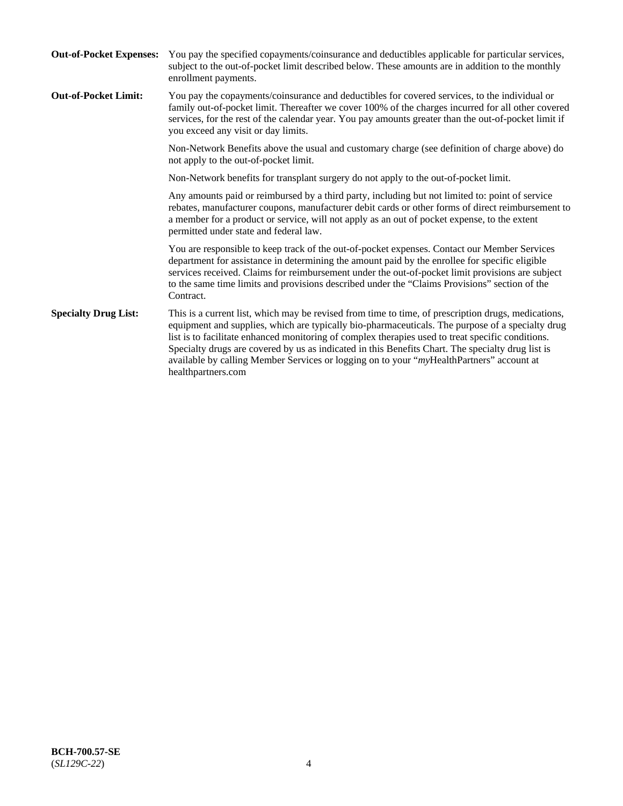| <b>Out-of-Pocket Expenses:</b> | You pay the specified copayments/coinsurance and deductibles applicable for particular services,<br>subject to the out-of-pocket limit described below. These amounts are in addition to the monthly<br>enrollment payments.                                                                                                                                                                                                                                                                                                        |
|--------------------------------|-------------------------------------------------------------------------------------------------------------------------------------------------------------------------------------------------------------------------------------------------------------------------------------------------------------------------------------------------------------------------------------------------------------------------------------------------------------------------------------------------------------------------------------|
| <b>Out-of-Pocket Limit:</b>    | You pay the copayments/coinsurance and deductibles for covered services, to the individual or<br>family out-of-pocket limit. Thereafter we cover 100% of the charges incurred for all other covered<br>services, for the rest of the calendar year. You pay amounts greater than the out-of-pocket limit if<br>you exceed any visit or day limits.                                                                                                                                                                                  |
|                                | Non-Network Benefits above the usual and customary charge (see definition of charge above) do<br>not apply to the out-of-pocket limit.                                                                                                                                                                                                                                                                                                                                                                                              |
|                                | Non-Network benefits for transplant surgery do not apply to the out-of-pocket limit.                                                                                                                                                                                                                                                                                                                                                                                                                                                |
|                                | Any amounts paid or reimbursed by a third party, including but not limited to: point of service<br>rebates, manufacturer coupons, manufacturer debit cards or other forms of direct reimbursement to<br>a member for a product or service, will not apply as an out of pocket expense, to the extent<br>permitted under state and federal law.                                                                                                                                                                                      |
|                                | You are responsible to keep track of the out-of-pocket expenses. Contact our Member Services<br>department for assistance in determining the amount paid by the enrollee for specific eligible<br>services received. Claims for reimbursement under the out-of-pocket limit provisions are subject<br>to the same time limits and provisions described under the "Claims Provisions" section of the<br>Contract.                                                                                                                    |
| <b>Specialty Drug List:</b>    | This is a current list, which may be revised from time to time, of prescription drugs, medications,<br>equipment and supplies, which are typically bio-pharmaceuticals. The purpose of a specialty drug<br>list is to facilitate enhanced monitoring of complex therapies used to treat specific conditions.<br>Specialty drugs are covered by us as indicated in this Benefits Chart. The specialty drug list is<br>available by calling Member Services or logging on to your "myHealthPartners" account at<br>healthpartners.com |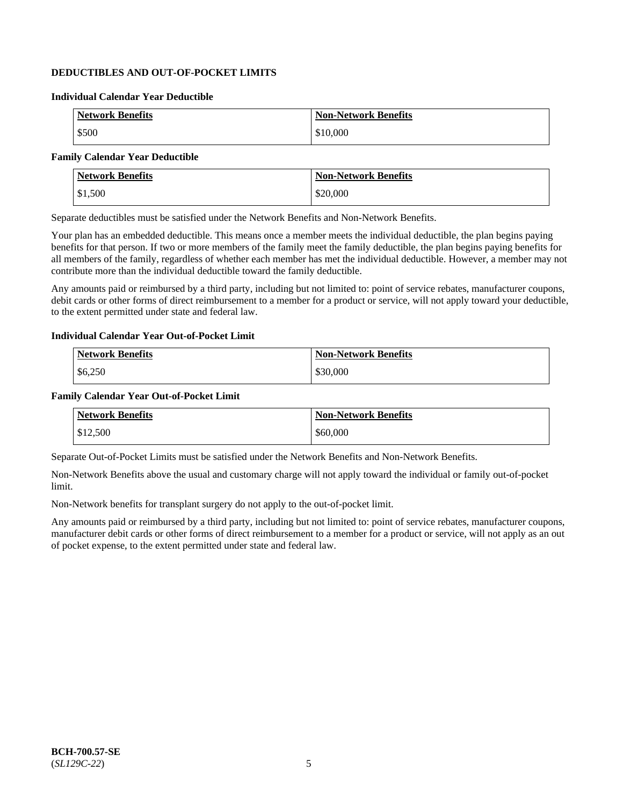# **DEDUCTIBLES AND OUT-OF-POCKET LIMITS**

### **Individual Calendar Year Deductible**

| <b>Network Benefits</b> | <b>Non-Network Benefits</b> |
|-------------------------|-----------------------------|
| \$500                   | \$10,000                    |

### **Family Calendar Year Deductible**

| <b>Network Benefits</b> | <b>Non-Network Benefits</b> |
|-------------------------|-----------------------------|
| \$1,500                 | \$20,000                    |

Separate deductibles must be satisfied under the Network Benefits and Non-Network Benefits.

Your plan has an embedded deductible. This means once a member meets the individual deductible, the plan begins paying benefits for that person. If two or more members of the family meet the family deductible, the plan begins paying benefits for all members of the family, regardless of whether each member has met the individual deductible. However, a member may not contribute more than the individual deductible toward the family deductible.

Any amounts paid or reimbursed by a third party, including but not limited to: point of service rebates, manufacturer coupons, debit cards or other forms of direct reimbursement to a member for a product or service, will not apply toward your deductible, to the extent permitted under state and federal law.

#### **Individual Calendar Year Out-of-Pocket Limit**

| <b>Network Benefits</b> | <b>Non-Network Benefits</b> |
|-------------------------|-----------------------------|
| \$6,250                 | \$30,000                    |

#### **Family Calendar Year Out-of-Pocket Limit**

| <b>Network Benefits</b> | Non-Network Benefits |
|-------------------------|----------------------|
| \$12,500                | \$60,000             |

Separate Out-of-Pocket Limits must be satisfied under the Network Benefits and Non-Network Benefits.

Non-Network Benefits above the usual and customary charge will not apply toward the individual or family out-of-pocket limit.

Non-Network benefits for transplant surgery do not apply to the out-of-pocket limit.

Any amounts paid or reimbursed by a third party, including but not limited to: point of service rebates, manufacturer coupons, manufacturer debit cards or other forms of direct reimbursement to a member for a product or service, will not apply as an out of pocket expense, to the extent permitted under state and federal law.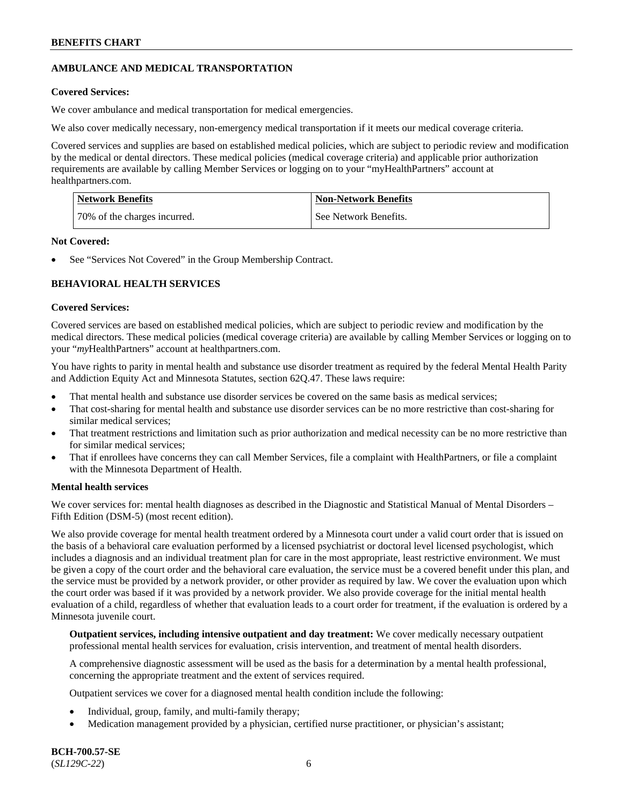# **AMBULANCE AND MEDICAL TRANSPORTATION**

# **Covered Services:**

We cover ambulance and medical transportation for medical emergencies.

We also cover medically necessary, non-emergency medical transportation if it meets our medical coverage criteria.

Covered services and supplies are based on established medical policies, which are subject to periodic review and modification by the medical or dental directors. These medical policies (medical coverage criteria) and applicable prior authorization requirements are available by calling Member Services or logging on to your "myHealthPartners" account at [healthpartners.com.](https://www.healthpartners.com/hp/index.html)

| <b>Network Benefits</b>      | <b>Non-Network Benefits</b> |
|------------------------------|-----------------------------|
| 70% of the charges incurred. | See Network Benefits.       |

### **Not Covered:**

See "Services Not Covered" in the Group Membership Contract.

# **BEHAVIORAL HEALTH SERVICES**

# **Covered Services:**

Covered services are based on established medical policies, which are subject to periodic review and modification by the medical directors. These medical policies (medical coverage criteria) are available by calling Member Services or logging on to your "*my*HealthPartners" account at [healthpartners.com.](http://www.healthpartners.com/)

You have rights to parity in mental health and substance use disorder treatment as required by the federal Mental Health Parity and Addiction Equity Act and Minnesota Statutes, section 62Q.47. These laws require:

- That mental health and substance use disorder services be covered on the same basis as medical services;
- That cost-sharing for mental health and substance use disorder services can be no more restrictive than cost-sharing for similar medical services;
- That treatment restrictions and limitation such as prior authorization and medical necessity can be no more restrictive than for similar medical services;
- That if enrollees have concerns they can call Member Services, file a complaint with HealthPartners, or file a complaint with the Minnesota Department of Health.

### **Mental health services**

We cover services for: mental health diagnoses as described in the Diagnostic and Statistical Manual of Mental Disorders – Fifth Edition (DSM-5) (most recent edition).

We also provide coverage for mental health treatment ordered by a Minnesota court under a valid court order that is issued on the basis of a behavioral care evaluation performed by a licensed psychiatrist or doctoral level licensed psychologist, which includes a diagnosis and an individual treatment plan for care in the most appropriate, least restrictive environment. We must be given a copy of the court order and the behavioral care evaluation, the service must be a covered benefit under this plan, and the service must be provided by a network provider, or other provider as required by law. We cover the evaluation upon which the court order was based if it was provided by a network provider. We also provide coverage for the initial mental health evaluation of a child, regardless of whether that evaluation leads to a court order for treatment, if the evaluation is ordered by a Minnesota juvenile court.

**Outpatient services, including intensive outpatient and day treatment:** We cover medically necessary outpatient professional mental health services for evaluation, crisis intervention, and treatment of mental health disorders.

A comprehensive diagnostic assessment will be used as the basis for a determination by a mental health professional, concerning the appropriate treatment and the extent of services required.

Outpatient services we cover for a diagnosed mental health condition include the following:

- Individual, group, family, and multi-family therapy;
- Medication management provided by a physician, certified nurse practitioner, or physician's assistant;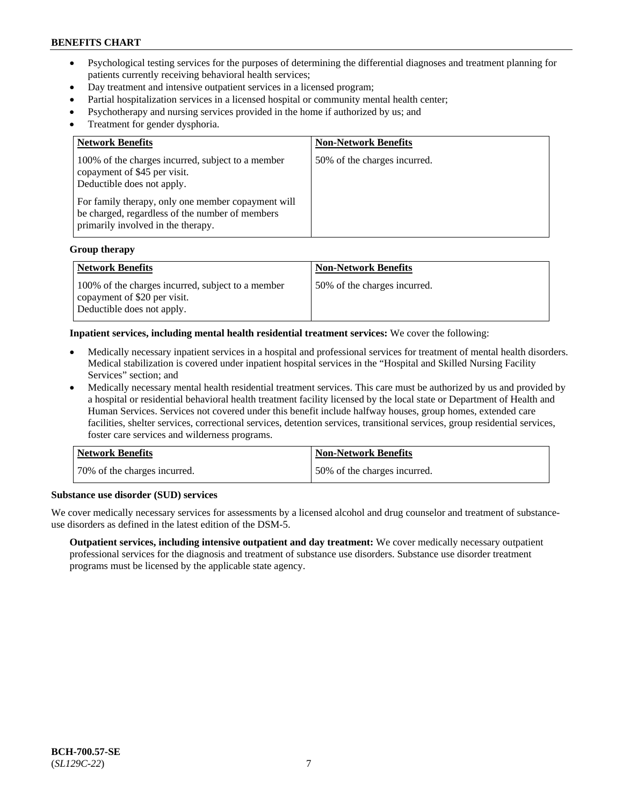- Psychological testing services for the purposes of determining the differential diagnoses and treatment planning for patients currently receiving behavioral health services;
- Day treatment and intensive outpatient services in a licensed program;
- Partial hospitalization services in a licensed hospital or community mental health center;
- Psychotherapy and nursing services provided in the home if authorized by us; and
- Treatment for gender dysphoria.

| <b>Network Benefits</b>                                                                                                                                                                                                                                        | <b>Non-Network Benefits</b>  |
|----------------------------------------------------------------------------------------------------------------------------------------------------------------------------------------------------------------------------------------------------------------|------------------------------|
| 100% of the charges incurred, subject to a member<br>copayment of \$45 per visit.<br>Deductible does not apply.<br>For family therapy, only one member copayment will<br>be charged, regardless of the number of members<br>primarily involved in the therapy. | 50% of the charges incurred. |

#### **Group therapy**

| Network Benefits                                                                                                | <b>Non-Network Benefits</b>   |
|-----------------------------------------------------------------------------------------------------------------|-------------------------------|
| 100% of the charges incurred, subject to a member<br>copayment of \$20 per visit.<br>Deductible does not apply. | 150% of the charges incurred. |

#### **Inpatient services, including mental health residential treatment services:** We cover the following:

- Medically necessary inpatient services in a hospital and professional services for treatment of mental health disorders. Medical stabilization is covered under inpatient hospital services in the "Hospital and Skilled Nursing Facility Services" section; and
- Medically necessary mental health residential treatment services. This care must be authorized by us and provided by a hospital or residential behavioral health treatment facility licensed by the local state or Department of Health and Human Services. Services not covered under this benefit include halfway houses, group homes, extended care facilities, shelter services, correctional services, detention services, transitional services, group residential services, foster care services and wilderness programs.

| <b>Network Benefits</b>      | <b>Non-Network Benefits</b>  |
|------------------------------|------------------------------|
| 70% of the charges incurred. | 50% of the charges incurred. |

#### **Substance use disorder (SUD) services**

We cover medically necessary services for assessments by a licensed alcohol and drug counselor and treatment of substanceuse disorders as defined in the latest edition of the DSM-5.

**Outpatient services, including intensive outpatient and day treatment:** We cover medically necessary outpatient professional services for the diagnosis and treatment of substance use disorders. Substance use disorder treatment programs must be licensed by the applicable state agency.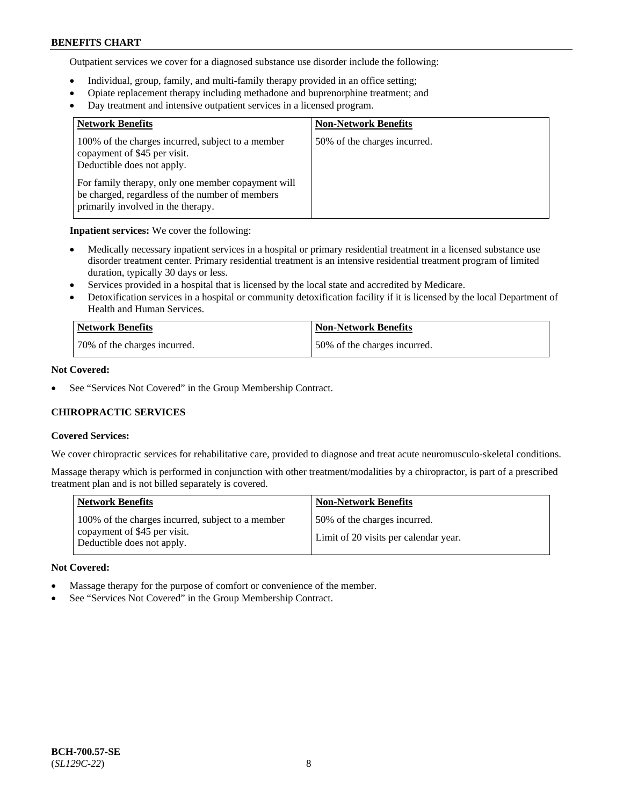Outpatient services we cover for a diagnosed substance use disorder include the following:

- Individual, group, family, and multi-family therapy provided in an office setting;
- Opiate replacement therapy including methadone and buprenorphine treatment; and
- Day treatment and intensive outpatient services in a licensed program.

| <b>Network Benefits</b>                                                                                                                     | <b>Non-Network Benefits</b>  |
|---------------------------------------------------------------------------------------------------------------------------------------------|------------------------------|
| 100% of the charges incurred, subject to a member<br>copayment of \$45 per visit.<br>Deductible does not apply.                             | 50% of the charges incurred. |
| For family therapy, only one member copayment will<br>be charged, regardless of the number of members<br>primarily involved in the therapy. |                              |

**Inpatient services:** We cover the following:

- Medically necessary inpatient services in a hospital or primary residential treatment in a licensed substance use disorder treatment center. Primary residential treatment is an intensive residential treatment program of limited duration, typically 30 days or less.
- Services provided in a hospital that is licensed by the local state and accredited by Medicare.
- Detoxification services in a hospital or community detoxification facility if it is licensed by the local Department of Health and Human Services.

| Network Benefits             | <b>Non-Network Benefits</b>  |
|------------------------------|------------------------------|
| 70% of the charges incurred. | 50% of the charges incurred. |

### **Not Covered:**

See "Services Not Covered" in the Group Membership Contract.

# **CHIROPRACTIC SERVICES**

### **Covered Services:**

We cover chiropractic services for rehabilitative care, provided to diagnose and treat acute neuromusculo-skeletal conditions.

Massage therapy which is performed in conjunction with other treatment/modalities by a chiropractor, is part of a prescribed treatment plan and is not billed separately is covered.

| <b>Network Benefits</b>                                                                                         | <b>Non-Network Benefits</b>                                           |
|-----------------------------------------------------------------------------------------------------------------|-----------------------------------------------------------------------|
| 100% of the charges incurred, subject to a member<br>copayment of \$45 per visit.<br>Deductible does not apply. | 50% of the charges incurred.<br>Limit of 20 visits per calendar year. |

### **Not Covered:**

- Massage therapy for the purpose of comfort or convenience of the member.
- See "Services Not Covered" in the Group Membership Contract.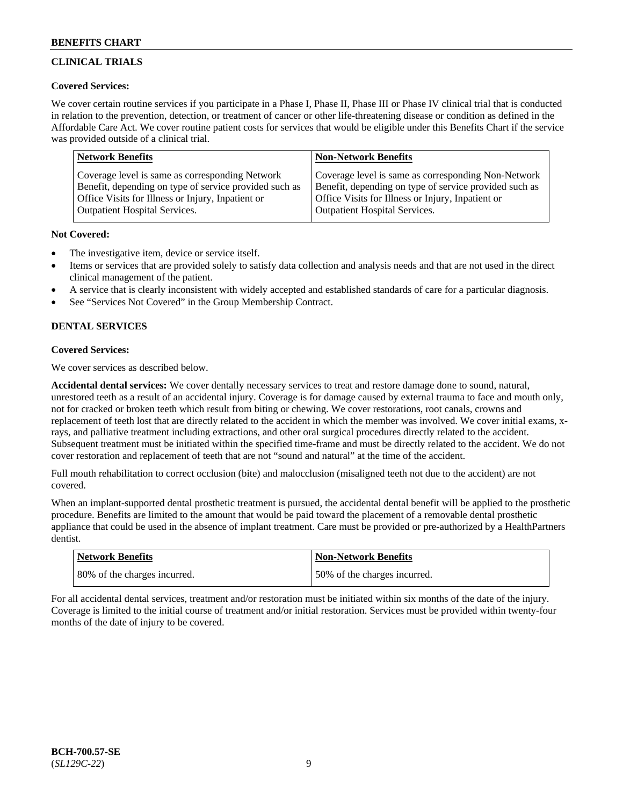# **CLINICAL TRIALS**

## **Covered Services:**

We cover certain routine services if you participate in a Phase I, Phase II, Phase III or Phase IV clinical trial that is conducted in relation to the prevention, detection, or treatment of cancer or other life-threatening disease or condition as defined in the Affordable Care Act. We cover routine patient costs for services that would be eligible under this Benefits Chart if the service was provided outside of a clinical trial.

| <b>Network Benefits</b>                                | <b>Non-Network Benefits</b>                            |
|--------------------------------------------------------|--------------------------------------------------------|
| Coverage level is same as corresponding Network        | Coverage level is same as corresponding Non-Network    |
| Benefit, depending on type of service provided such as | Benefit, depending on type of service provided such as |
| Office Visits for Illness or Injury, Inpatient or      | Office Visits for Illness or Injury, Inpatient or      |
| <b>Outpatient Hospital Services.</b>                   | <b>Outpatient Hospital Services.</b>                   |

### **Not Covered:**

- The investigative item, device or service itself.
- Items or services that are provided solely to satisfy data collection and analysis needs and that are not used in the direct clinical management of the patient.
- A service that is clearly inconsistent with widely accepted and established standards of care for a particular diagnosis.
- See "Services Not Covered" in the Group Membership Contract.

# **DENTAL SERVICES**

# **Covered Services:**

We cover services as described below.

**Accidental dental services:** We cover dentally necessary services to treat and restore damage done to sound, natural, unrestored teeth as a result of an accidental injury. Coverage is for damage caused by external trauma to face and mouth only, not for cracked or broken teeth which result from biting or chewing. We cover restorations, root canals, crowns and replacement of teeth lost that are directly related to the accident in which the member was involved. We cover initial exams, xrays, and palliative treatment including extractions, and other oral surgical procedures directly related to the accident. Subsequent treatment must be initiated within the specified time-frame and must be directly related to the accident. We do not cover restoration and replacement of teeth that are not "sound and natural" at the time of the accident.

Full mouth rehabilitation to correct occlusion (bite) and malocclusion (misaligned teeth not due to the accident) are not covered.

When an implant-supported dental prosthetic treatment is pursued, the accidental dental benefit will be applied to the prosthetic procedure. Benefits are limited to the amount that would be paid toward the placement of a removable dental prosthetic appliance that could be used in the absence of implant treatment. Care must be provided or pre-authorized by a HealthPartners dentist.

| <b>Network Benefits</b>      | <b>Non-Network Benefits</b>   |
|------------------------------|-------------------------------|
| 80% of the charges incurred. | 150% of the charges incurred. |

For all accidental dental services, treatment and/or restoration must be initiated within six months of the date of the injury. Coverage is limited to the initial course of treatment and/or initial restoration. Services must be provided within twenty-four months of the date of injury to be covered.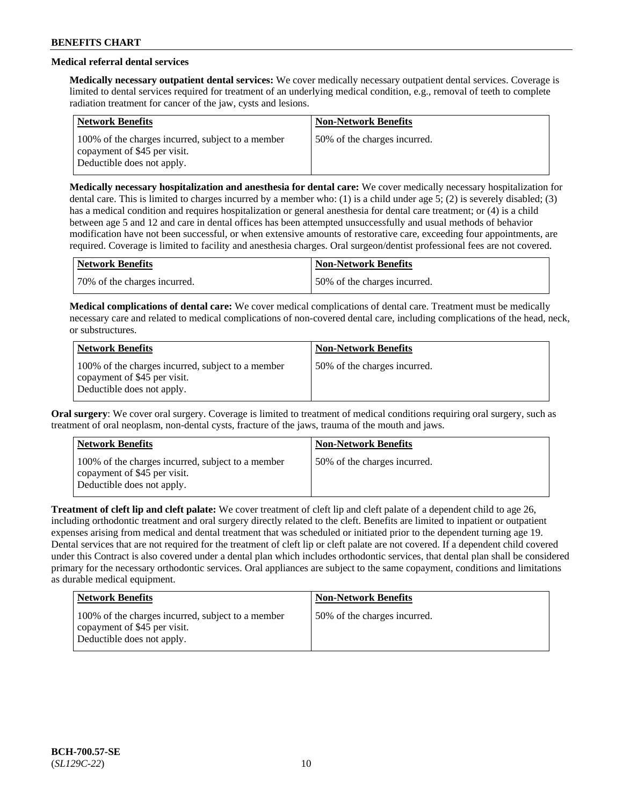# **Medical referral dental services**

**Medically necessary outpatient dental services:** We cover medically necessary outpatient dental services. Coverage is limited to dental services required for treatment of an underlying medical condition, e.g., removal of teeth to complete radiation treatment for cancer of the jaw, cysts and lesions.

| <b>Network Benefits</b>                                                                                         | <b>Non-Network Benefits</b>  |
|-----------------------------------------------------------------------------------------------------------------|------------------------------|
| 100% of the charges incurred, subject to a member<br>copayment of \$45 per visit.<br>Deductible does not apply. | 50% of the charges incurred. |

**Medically necessary hospitalization and anesthesia for dental care:** We cover medically necessary hospitalization for dental care. This is limited to charges incurred by a member who: (1) is a child under age 5; (2) is severely disabled; (3) has a medical condition and requires hospitalization or general anesthesia for dental care treatment; or (4) is a child between age 5 and 12 and care in dental offices has been attempted unsuccessfully and usual methods of behavior modification have not been successful, or when extensive amounts of restorative care, exceeding four appointments, are required. Coverage is limited to facility and anesthesia charges. Oral surgeon/dentist professional fees are not covered.

| Network Benefits             | <b>Non-Network Benefits</b>  |
|------------------------------|------------------------------|
| 70% of the charges incurred. | 50% of the charges incurred. |

**Medical complications of dental care:** We cover medical complications of dental care. Treatment must be medically necessary care and related to medical complications of non-covered dental care, including complications of the head, neck, or substructures.

| <b>Network Benefits</b>                                                                                         | <b>Non-Network Benefits</b>  |
|-----------------------------------------------------------------------------------------------------------------|------------------------------|
| 100% of the charges incurred, subject to a member<br>copayment of \$45 per visit.<br>Deductible does not apply. | 50% of the charges incurred. |

**Oral surgery**: We cover oral surgery. Coverage is limited to treatment of medical conditions requiring oral surgery, such as treatment of oral neoplasm, non-dental cysts, fracture of the jaws, trauma of the mouth and jaws.

| <b>Network Benefits</b>                                                                                         | <b>Non-Network Benefits</b>  |
|-----------------------------------------------------------------------------------------------------------------|------------------------------|
| 100% of the charges incurred, subject to a member<br>copayment of \$45 per visit.<br>Deductible does not apply. | 50% of the charges incurred. |

**Treatment of cleft lip and cleft palate:** We cover treatment of cleft lip and cleft palate of a dependent child to age 26, including orthodontic treatment and oral surgery directly related to the cleft. Benefits are limited to inpatient or outpatient expenses arising from medical and dental treatment that was scheduled or initiated prior to the dependent turning age 19. Dental services that are not required for the treatment of cleft lip or cleft palate are not covered. If a dependent child covered under this Contract is also covered under a dental plan which includes orthodontic services, that dental plan shall be considered primary for the necessary orthodontic services. Oral appliances are subject to the same copayment, conditions and limitations as durable medical equipment.

| <b>Network Benefits</b>                                                                                         | <b>Non-Network Benefits</b>  |
|-----------------------------------------------------------------------------------------------------------------|------------------------------|
| 100% of the charges incurred, subject to a member<br>copayment of \$45 per visit.<br>Deductible does not apply. | 50% of the charges incurred. |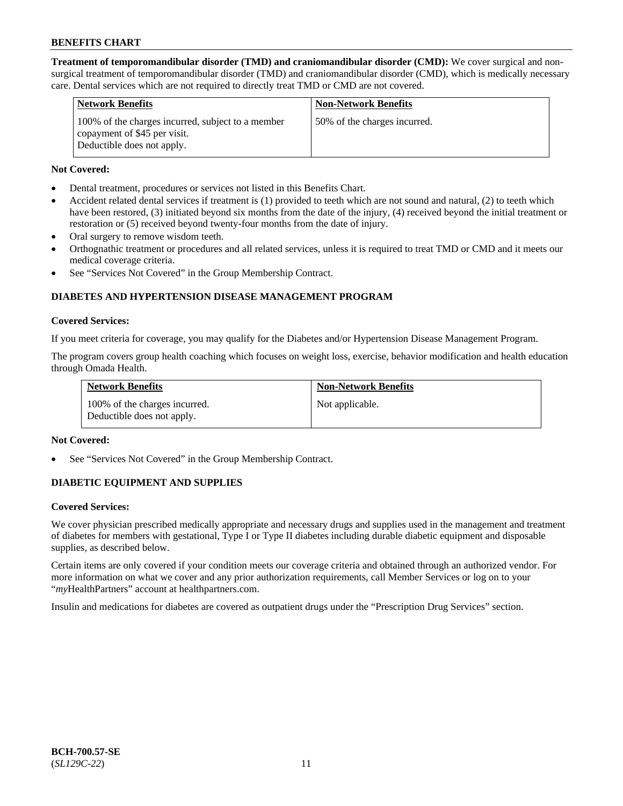**Treatment of temporomandibular disorder (TMD) and craniomandibular disorder (CMD):** We cover surgical and nonsurgical treatment of temporomandibular disorder (TMD) and craniomandibular disorder (CMD), which is medically necessary care. Dental services which are not required to directly treat TMD or CMD are not covered.

| <b>Network Benefits</b>                                                                                         | <b>Non-Network Benefits</b>  |
|-----------------------------------------------------------------------------------------------------------------|------------------------------|
| 100% of the charges incurred, subject to a member<br>copayment of \$45 per visit.<br>Deductible does not apply. | 50% of the charges incurred. |

### **Not Covered:**

- Dental treatment, procedures or services not listed in this Benefits Chart.
- Accident related dental services if treatment is (1) provided to teeth which are not sound and natural, (2) to teeth which have been restored, (3) initiated beyond six months from the date of the injury, (4) received beyond the initial treatment or restoration or (5) received beyond twenty-four months from the date of injury.
- Oral surgery to remove wisdom teeth.
- Orthognathic treatment or procedures and all related services, unless it is required to treat TMD or CMD and it meets our medical coverage criteria.
- See "Services Not Covered" in the Group Membership Contract.

# **DIABETES AND HYPERTENSION DISEASE MANAGEMENT PROGRAM**

#### **Covered Services:**

If you meet criteria for coverage, you may qualify for the Diabetes and/or Hypertension Disease Management Program.

The program covers group health coaching which focuses on weight loss, exercise, behavior modification and health education through Omada Health.

| <b>Network Benefits</b>                                     | <b>Non-Network Benefits</b> |
|-------------------------------------------------------------|-----------------------------|
| 100% of the charges incurred.<br>Deductible does not apply. | Not applicable.             |

### **Not Covered:**

See "Services Not Covered" in the Group Membership Contract.

### **DIABETIC EQUIPMENT AND SUPPLIES**

### **Covered Services:**

We cover physician prescribed medically appropriate and necessary drugs and supplies used in the management and treatment of diabetes for members with gestational, Type I or Type II diabetes including durable diabetic equipment and disposable supplies, as described below.

Certain items are only covered if your condition meets our coverage criteria and obtained through an authorized vendor. For more information on what we cover and any prior authorization requirements, call Member Services or log on to your "*my*HealthPartners" account at [healthpartners.com.](http://www.healthpartners.com/)

Insulin and medications for diabetes are covered as outpatient drugs under the "Prescription Drug Services" section.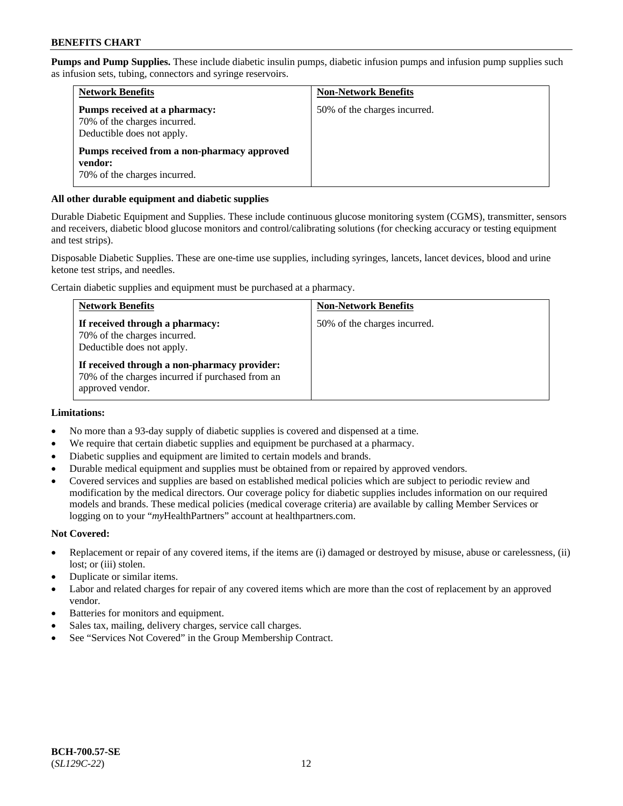**Pumps and Pump Supplies.** These include diabetic insulin pumps, diabetic infusion pumps and infusion pump supplies such as infusion sets, tubing, connectors and syringe reservoirs.

| <b>Network Benefits</b>                                                                     | <b>Non-Network Benefits</b>  |
|---------------------------------------------------------------------------------------------|------------------------------|
| Pumps received at a pharmacy:<br>70% of the charges incurred.<br>Deductible does not apply. | 50% of the charges incurred. |
| Pumps received from a non-pharmacy approved<br>vendor:<br>70% of the charges incurred.      |                              |

### **All other durable equipment and diabetic supplies**

Durable Diabetic Equipment and Supplies. These include continuous glucose monitoring system (CGMS), transmitter, sensors and receivers, diabetic blood glucose monitors and control/calibrating solutions (for checking accuracy or testing equipment and test strips).

Disposable Diabetic Supplies. These are one-time use supplies, including syringes, lancets, lancet devices, blood and urine ketone test strips, and needles.

Certain diabetic supplies and equipment must be purchased at a pharmacy.

| <b>Network Benefits</b>                                                                                              | <b>Non-Network Benefits</b>  |
|----------------------------------------------------------------------------------------------------------------------|------------------------------|
| If received through a pharmacy:<br>70% of the charges incurred.<br>Deductible does not apply.                        | 50% of the charges incurred. |
| If received through a non-pharmacy provider:<br>70% of the charges incurred if purchased from an<br>approved vendor. |                              |

### **Limitations:**

- No more than a 93-day supply of diabetic supplies is covered and dispensed at a time.
- We require that certain diabetic supplies and equipment be purchased at a pharmacy.
- Diabetic supplies and equipment are limited to certain models and brands.
- Durable medical equipment and supplies must be obtained from or repaired by approved vendors.
- Covered services and supplies are based on established medical policies which are subject to periodic review and modification by the medical directors. Our coverage policy for diabetic supplies includes information on our required models and brands. These medical policies (medical coverage criteria) are available by calling Member Services or logging on to your "*my*HealthPartners" account at [healthpartners.com.](http://www.healthpartners.com/)

### **Not Covered:**

- Replacement or repair of any covered items, if the items are (i) damaged or destroyed by misuse, abuse or carelessness, (ii) lost; or (iii) stolen.
- Duplicate or similar items.
- Labor and related charges for repair of any covered items which are more than the cost of replacement by an approved vendor.
- Batteries for monitors and equipment.
- Sales tax, mailing, delivery charges, service call charges.
- See "Services Not Covered" in the Group Membership Contract.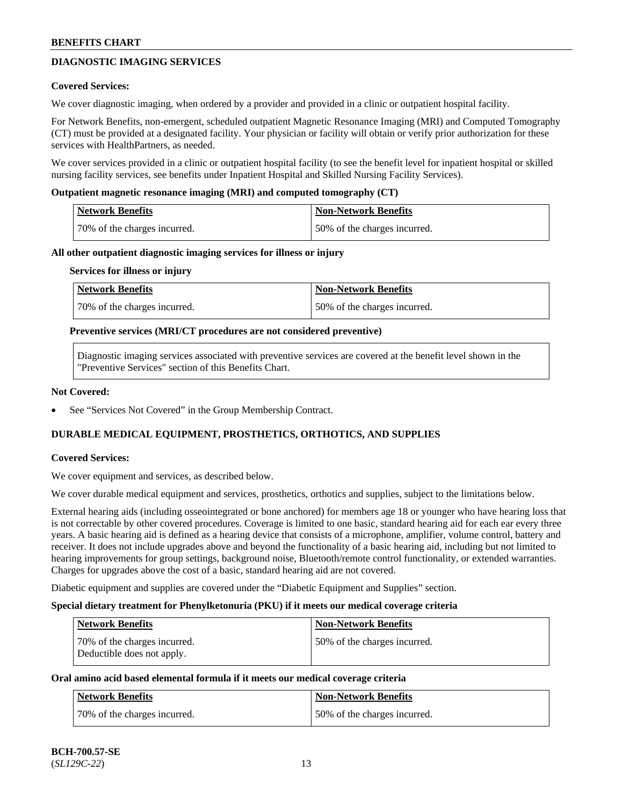# **DIAGNOSTIC IMAGING SERVICES**

### **Covered Services:**

We cover diagnostic imaging, when ordered by a provider and provided in a clinic or outpatient hospital facility.

For Network Benefits, non-emergent, scheduled outpatient Magnetic Resonance Imaging (MRI) and Computed Tomography (CT) must be provided at a designated facility. Your physician or facility will obtain or verify prior authorization for these services with HealthPartners, as needed.

We cover services provided in a clinic or outpatient hospital facility (to see the benefit level for inpatient hospital or skilled nursing facility services, see benefits under Inpatient Hospital and Skilled Nursing Facility Services).

#### **Outpatient magnetic resonance imaging (MRI) and computed tomography (CT)**

| Network Benefits             | Non-Network Benefits         |
|------------------------------|------------------------------|
| 70% of the charges incurred. | 50% of the charges incurred. |

#### **All other outpatient diagnostic imaging services for illness or injury**

#### **Services for illness or injury**

| Network Benefits             | Non-Network Benefits         |
|------------------------------|------------------------------|
| 70% of the charges incurred. | 50% of the charges incurred. |

#### **Preventive services (MRI/CT procedures are not considered preventive)**

Diagnostic imaging services associated with preventive services are covered at the benefit level shown in the "Preventive Services" section of this Benefits Chart.

#### **Not Covered:**

See "Services Not Covered" in the Group Membership Contract.

### **DURABLE MEDICAL EQUIPMENT, PROSTHETICS, ORTHOTICS, AND SUPPLIES**

### **Covered Services:**

We cover equipment and services, as described below.

We cover durable medical equipment and services, prosthetics, orthotics and supplies, subject to the limitations below.

External hearing aids (including osseointegrated or bone anchored) for members age 18 or younger who have hearing loss that is not correctable by other covered procedures. Coverage is limited to one basic, standard hearing aid for each ear every three years. A basic hearing aid is defined as a hearing device that consists of a microphone, amplifier, volume control, battery and receiver. It does not include upgrades above and beyond the functionality of a basic hearing aid, including but not limited to hearing improvements for group settings, background noise, Bluetooth/remote control functionality, or extended warranties. Charges for upgrades above the cost of a basic, standard hearing aid are not covered.

Diabetic equipment and supplies are covered under the "Diabetic Equipment and Supplies" section.

#### **Special dietary treatment for Phenylketonuria (PKU) if it meets our medical coverage criteria**

| <b>Network Benefits</b>                                    | <b>Non-Network Benefits</b>  |
|------------------------------------------------------------|------------------------------|
| 70% of the charges incurred.<br>Deductible does not apply. | 50% of the charges incurred. |

### **Oral amino acid based elemental formula if it meets our medical coverage criteria**

| Network Benefits             | Non-Network Benefits         |
|------------------------------|------------------------------|
| 70% of the charges incurred. | 50% of the charges incurred. |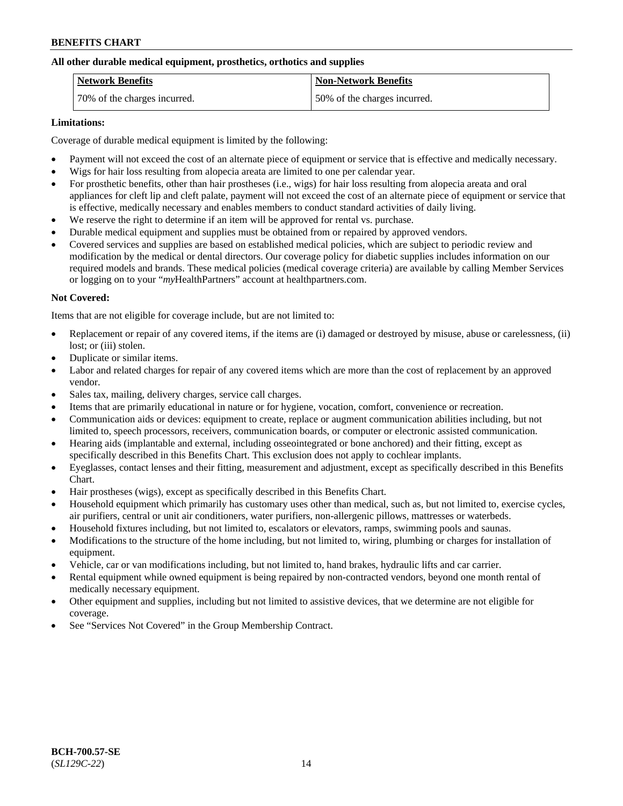## **All other durable medical equipment, prosthetics, orthotics and supplies**

| <b>Network Benefits</b>      | <b>Non-Network Benefits</b>  |
|------------------------------|------------------------------|
| 70% of the charges incurred. | 50% of the charges incurred. |

### **Limitations:**

Coverage of durable medical equipment is limited by the following:

- Payment will not exceed the cost of an alternate piece of equipment or service that is effective and medically necessary.
- Wigs for hair loss resulting from alopecia areata are limited to one per calendar year.
- For prosthetic benefits, other than hair prostheses (i.e., wigs) for hair loss resulting from alopecia areata and oral appliances for cleft lip and cleft palate, payment will not exceed the cost of an alternate piece of equipment or service that is effective, medically necessary and enables members to conduct standard activities of daily living.
- We reserve the right to determine if an item will be approved for rental vs. purchase.
- Durable medical equipment and supplies must be obtained from or repaired by approved vendors.
- Covered services and supplies are based on established medical policies, which are subject to periodic review and modification by the medical or dental directors. Our coverage policy for diabetic supplies includes information on our required models and brands. These medical policies (medical coverage criteria) are available by calling Member Services or logging on to your "*my*HealthPartners" account a[t healthpartners.com.](https://www.healthpartners.com/hp/index.html)

# **Not Covered:**

Items that are not eligible for coverage include, but are not limited to:

- Replacement or repair of any covered items, if the items are (i) damaged or destroyed by misuse, abuse or carelessness, (ii) lost; or (iii) stolen.
- Duplicate or similar items.
- Labor and related charges for repair of any covered items which are more than the cost of replacement by an approved vendor.
- Sales tax, mailing, delivery charges, service call charges.
- Items that are primarily educational in nature or for hygiene, vocation, comfort, convenience or recreation.
- Communication aids or devices: equipment to create, replace or augment communication abilities including, but not limited to, speech processors, receivers, communication boards, or computer or electronic assisted communication.
- Hearing aids (implantable and external, including osseointegrated or bone anchored) and their fitting, except as specifically described in this Benefits Chart. This exclusion does not apply to cochlear implants.
- Eyeglasses, contact lenses and their fitting, measurement and adjustment, except as specifically described in this Benefits Chart.
- Hair prostheses (wigs), except as specifically described in this Benefits Chart.
- Household equipment which primarily has customary uses other than medical, such as, but not limited to, exercise cycles, air purifiers, central or unit air conditioners, water purifiers, non-allergenic pillows, mattresses or waterbeds.
- Household fixtures including, but not limited to, escalators or elevators, ramps, swimming pools and saunas.
- Modifications to the structure of the home including, but not limited to, wiring, plumbing or charges for installation of equipment.
- Vehicle, car or van modifications including, but not limited to, hand brakes, hydraulic lifts and car carrier.
- Rental equipment while owned equipment is being repaired by non-contracted vendors, beyond one month rental of medically necessary equipment.
- Other equipment and supplies, including but not limited to assistive devices, that we determine are not eligible for coverage.
- See "Services Not Covered" in the Group Membership Contract.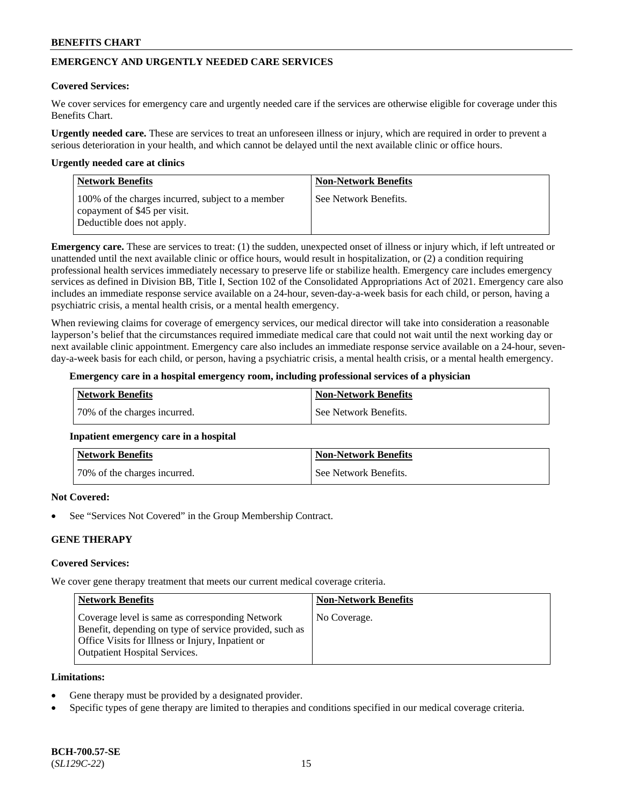# **EMERGENCY AND URGENTLY NEEDED CARE SERVICES**

#### **Covered Services:**

We cover services for emergency care and urgently needed care if the services are otherwise eligible for coverage under this Benefits Chart.

**Urgently needed care.** These are services to treat an unforeseen illness or injury, which are required in order to prevent a serious deterioration in your health, and which cannot be delayed until the next available clinic or office hours.

#### **Urgently needed care at clinics**

| <b>Network Benefits</b>                                                                                         | <b>Non-Network Benefits</b> |
|-----------------------------------------------------------------------------------------------------------------|-----------------------------|
| 100% of the charges incurred, subject to a member<br>copayment of \$45 per visit.<br>Deductible does not apply. | See Network Benefits.       |

**Emergency care.** These are services to treat: (1) the sudden, unexpected onset of illness or injury which, if left untreated or unattended until the next available clinic or office hours, would result in hospitalization, or (2) a condition requiring professional health services immediately necessary to preserve life or stabilize health. Emergency care includes emergency services as defined in Division BB, Title I, Section 102 of the Consolidated Appropriations Act of 2021. Emergency care also includes an immediate response service available on a 24-hour, seven-day-a-week basis for each child, or person, having a psychiatric crisis, a mental health crisis, or a mental health emergency.

When reviewing claims for coverage of emergency services, our medical director will take into consideration a reasonable layperson's belief that the circumstances required immediate medical care that could not wait until the next working day or next available clinic appointment. Emergency care also includes an immediate response service available on a 24-hour, sevenday-a-week basis for each child, or person, having a psychiatric crisis, a mental health crisis, or a mental health emergency.

#### **Emergency care in a hospital emergency room, including professional services of a physician**

| Network Benefits             | Non-Network Benefits  |
|------------------------------|-----------------------|
| 70% of the charges incurred. | See Network Benefits. |

### **Inpatient emergency care in a hospital**

| <b>Network Benefits</b>      | Non-Network Benefits  |
|------------------------------|-----------------------|
| 70% of the charges incurred. | See Network Benefits. |

### **Not Covered:**

See "Services Not Covered" in the Group Membership Contract.

### **GENE THERAPY**

### **Covered Services:**

We cover gene therapy treatment that meets our current medical coverage criteria.

| <b>Network Benefits</b>                                                                                                                                                                                 | <b>Non-Network Benefits</b> |
|---------------------------------------------------------------------------------------------------------------------------------------------------------------------------------------------------------|-----------------------------|
| Coverage level is same as corresponding Network<br>Benefit, depending on type of service provided, such as<br>Office Visits for Illness or Injury, Inpatient or<br><b>Outpatient Hospital Services.</b> | No Coverage.                |

#### **Limitations:**

- Gene therapy must be provided by a designated provider.
- Specific types of gene therapy are limited to therapies and conditions specified in our medical coverage criteria.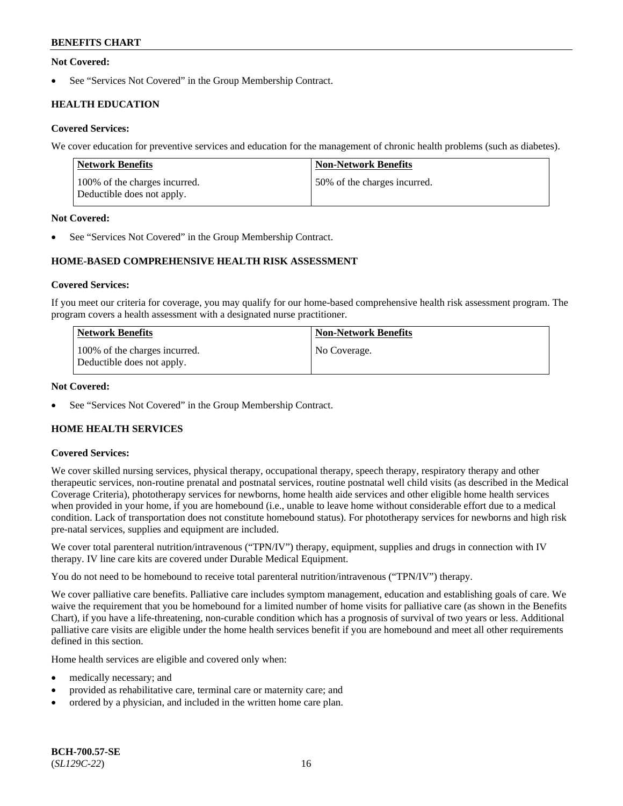### **Not Covered:**

See "Services Not Covered" in the Group Membership Contract.

# **HEALTH EDUCATION**

## **Covered Services:**

We cover education for preventive services and education for the management of chronic health problems (such as diabetes).

| <b>Network Benefits</b>                                     | <b>Non-Network Benefits</b>  |
|-------------------------------------------------------------|------------------------------|
| 100% of the charges incurred.<br>Deductible does not apply. | 50% of the charges incurred. |

### **Not Covered:**

See "Services Not Covered" in the Group Membership Contract.

# **HOME-BASED COMPREHENSIVE HEALTH RISK ASSESSMENT**

### **Covered Services:**

If you meet our criteria for coverage, you may qualify for our home-based comprehensive health risk assessment program. The program covers a health assessment with a designated nurse practitioner.

| <b>Network Benefits</b>                                     | <b>Non-Network Benefits</b> |
|-------------------------------------------------------------|-----------------------------|
| 100% of the charges incurred.<br>Deductible does not apply. | No Coverage.                |

### **Not Covered:**

See "Services Not Covered" in the Group Membership Contract.

# **HOME HEALTH SERVICES**

### **Covered Services:**

We cover skilled nursing services, physical therapy, occupational therapy, speech therapy, respiratory therapy and other therapeutic services, non-routine prenatal and postnatal services, routine postnatal well child visits (as described in the Medical Coverage Criteria), phototherapy services for newborns, home health aide services and other eligible home health services when provided in your home, if you are homebound (i.e., unable to leave home without considerable effort due to a medical condition. Lack of transportation does not constitute homebound status). For phototherapy services for newborns and high risk pre-natal services, supplies and equipment are included.

We cover total parenteral nutrition/intravenous ("TPN/IV") therapy, equipment, supplies and drugs in connection with IV therapy. IV line care kits are covered under Durable Medical Equipment.

You do not need to be homebound to receive total parenteral nutrition/intravenous ("TPN/IV") therapy.

We cover palliative care benefits. Palliative care includes symptom management, education and establishing goals of care. We waive the requirement that you be homebound for a limited number of home visits for palliative care (as shown in the Benefits Chart), if you have a life-threatening, non-curable condition which has a prognosis of survival of two years or less. Additional palliative care visits are eligible under the home health services benefit if you are homebound and meet all other requirements defined in this section.

Home health services are eligible and covered only when:

- medically necessary; and
- provided as rehabilitative care, terminal care or maternity care; and
- ordered by a physician, and included in the written home care plan.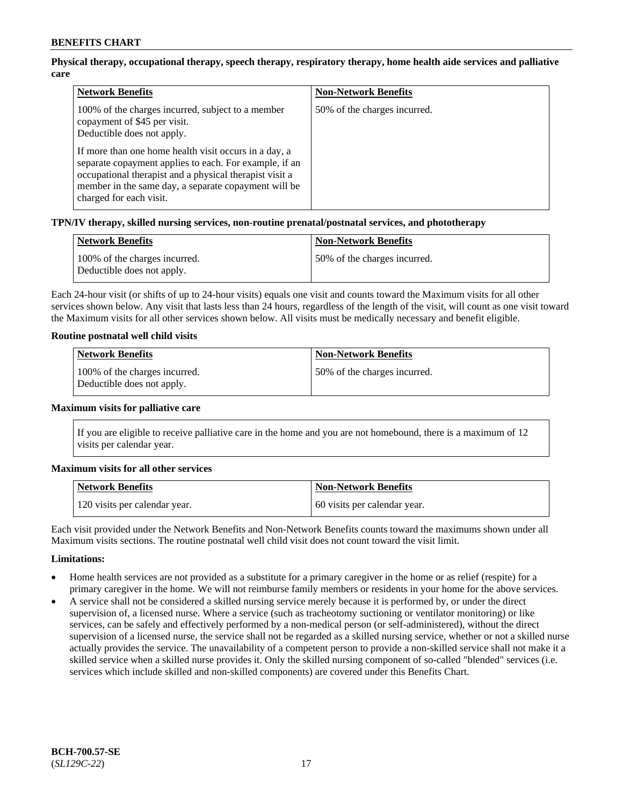# **Physical therapy, occupational therapy, speech therapy, respiratory therapy, home health aide services and palliative care**

| <b>Network Benefits</b>                                                                                                                                                                                                                                                                                                                                                          | <b>Non-Network Benefits</b>  |
|----------------------------------------------------------------------------------------------------------------------------------------------------------------------------------------------------------------------------------------------------------------------------------------------------------------------------------------------------------------------------------|------------------------------|
| 100% of the charges incurred, subject to a member<br>copayment of \$45 per visit.<br>Deductible does not apply.<br>If more than one home health visit occurs in a day, a<br>separate copayment applies to each. For example, if an<br>occupational therapist and a physical therapist visit a<br>member in the same day, a separate copayment will be<br>charged for each visit. | 50% of the charges incurred. |

### **TPN/IV therapy, skilled nursing services, non-routine prenatal/postnatal services, and phototherapy**

| <b>Network Benefits</b>                                     | <b>Non-Network Benefits</b>  |
|-------------------------------------------------------------|------------------------------|
| 100% of the charges incurred.<br>Deductible does not apply. | 50% of the charges incurred. |

Each 24-hour visit (or shifts of up to 24-hour visits) equals one visit and counts toward the Maximum visits for all other services shown below. Any visit that lasts less than 24 hours, regardless of the length of the visit, will count as one visit toward the Maximum visits for all other services shown below. All visits must be medically necessary and benefit eligible.

### **Routine postnatal well child visits**

| <b>Network Benefits</b>                                     | <b>Non-Network Benefits</b>  |
|-------------------------------------------------------------|------------------------------|
| 100% of the charges incurred.<br>Deductible does not apply. | 50% of the charges incurred. |

#### **Maximum visits for palliative care**

If you are eligible to receive palliative care in the home and you are not homebound, there is a maximum of 12 visits per calendar year.

### **Maximum visits for all other services**

| <b>Network Benefits</b>       | <b>Non-Network Benefits</b>  |
|-------------------------------|------------------------------|
| 120 visits per calendar year. | 60 visits per calendar year. |

Each visit provided under the Network Benefits and Non-Network Benefits counts toward the maximums shown under all Maximum visits sections. The routine postnatal well child visit does not count toward the visit limit.

### **Limitations:**

- Home health services are not provided as a substitute for a primary caregiver in the home or as relief (respite) for a primary caregiver in the home. We will not reimburse family members or residents in your home for the above services.
- A service shall not be considered a skilled nursing service merely because it is performed by, or under the direct supervision of, a licensed nurse. Where a service (such as tracheotomy suctioning or ventilator monitoring) or like services, can be safely and effectively performed by a non-medical person (or self-administered), without the direct supervision of a licensed nurse, the service shall not be regarded as a skilled nursing service, whether or not a skilled nurse actually provides the service. The unavailability of a competent person to provide a non-skilled service shall not make it a skilled service when a skilled nurse provides it. Only the skilled nursing component of so-called "blended" services (i.e. services which include skilled and non-skilled components) are covered under this Benefits Chart.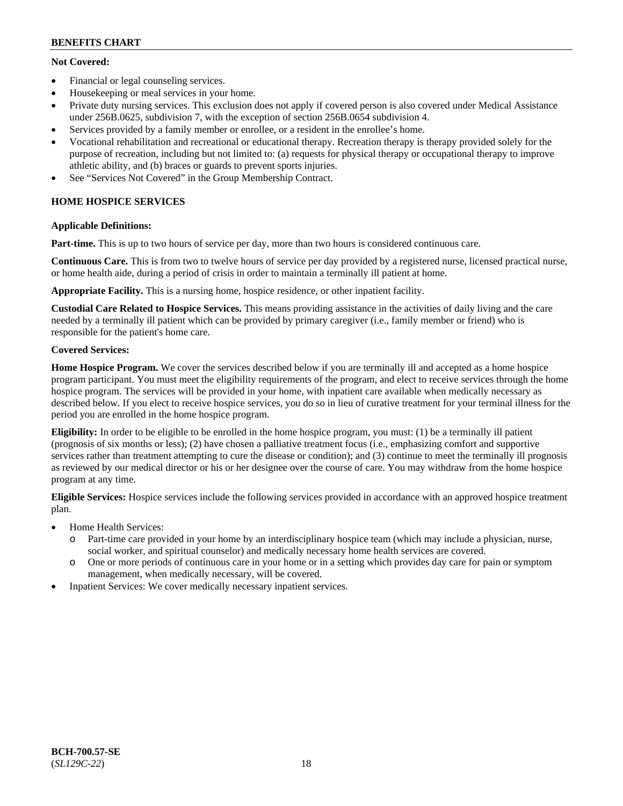# **Not Covered:**

- Financial or legal counseling services.
- Housekeeping or meal services in your home.
- Private duty nursing services. This exclusion does not apply if covered person is also covered under Medical Assistance under 256B.0625, subdivision 7, with the exception of section 256B.0654 subdivision 4.
- Services provided by a family member or enrollee, or a resident in the enrollee's home.
- Vocational rehabilitation and recreational or educational therapy. Recreation therapy is therapy provided solely for the purpose of recreation, including but not limited to: (a) requests for physical therapy or occupational therapy to improve athletic ability, and (b) braces or guards to prevent sports injuries.
- See "Services Not Covered" in the Group Membership Contract.

# **HOME HOSPICE SERVICES**

# **Applicable Definitions:**

**Part-time.** This is up to two hours of service per day, more than two hours is considered continuous care.

**Continuous Care.** This is from two to twelve hours of service per day provided by a registered nurse, licensed practical nurse, or home health aide, during a period of crisis in order to maintain a terminally ill patient at home.

**Appropriate Facility.** This is a nursing home, hospice residence, or other inpatient facility.

**Custodial Care Related to Hospice Services.** This means providing assistance in the activities of daily living and the care needed by a terminally ill patient which can be provided by primary caregiver (i.e., family member or friend) who is responsible for the patient's home care.

# **Covered Services:**

**Home Hospice Program.** We cover the services described below if you are terminally ill and accepted as a home hospice program participant. You must meet the eligibility requirements of the program, and elect to receive services through the home hospice program. The services will be provided in your home, with inpatient care available when medically necessary as described below. If you elect to receive hospice services, you do so in lieu of curative treatment for your terminal illness for the period you are enrolled in the home hospice program.

**Eligibility:** In order to be eligible to be enrolled in the home hospice program, you must: (1) be a terminally ill patient (prognosis of six months or less); (2) have chosen a palliative treatment focus (i.e., emphasizing comfort and supportive services rather than treatment attempting to cure the disease or condition); and (3) continue to meet the terminally ill prognosis as reviewed by our medical director or his or her designee over the course of care. You may withdraw from the home hospice program at any time.

**Eligible Services:** Hospice services include the following services provided in accordance with an approved hospice treatment plan.

- Home Health Services:
	- o Part-time care provided in your home by an interdisciplinary hospice team (which may include a physician, nurse, social worker, and spiritual counselor) and medically necessary home health services are covered.
	- o One or more periods of continuous care in your home or in a setting which provides day care for pain or symptom management, when medically necessary, will be covered.
- Inpatient Services: We cover medically necessary inpatient services.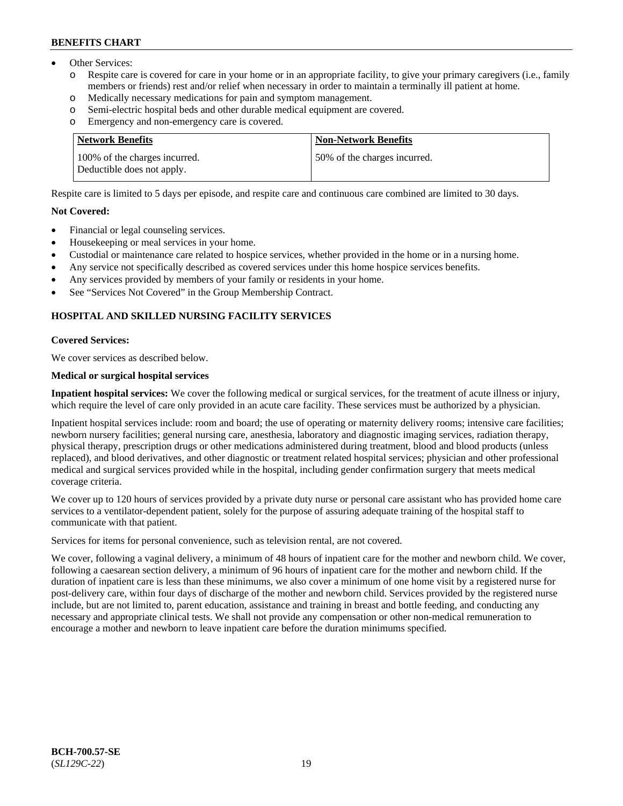- Other Services:
	- Respite care is covered for care in your home or in an appropriate facility, to give your primary caregivers (i.e., family members or friends) rest and/or relief when necessary in order to maintain a terminally ill patient at home.
	- o Medically necessary medications for pain and symptom management.
	- o Semi-electric hospital beds and other durable medical equipment are covered.
	- Emergency and non-emergency care is covered.

| <b>Network Benefits</b>                                     | <b>Non-Network Benefits</b>  |
|-------------------------------------------------------------|------------------------------|
| 100% of the charges incurred.<br>Deductible does not apply. | 50% of the charges incurred. |

Respite care is limited to 5 days per episode, and respite care and continuous care combined are limited to 30 days.

### **Not Covered:**

- Financial or legal counseling services.
- Housekeeping or meal services in your home.
- Custodial or maintenance care related to hospice services, whether provided in the home or in a nursing home.
- Any service not specifically described as covered services under this home hospice services benefits.
- Any services provided by members of your family or residents in your home.
- See "Services Not Covered" in the Group Membership Contract.

# **HOSPITAL AND SKILLED NURSING FACILITY SERVICES**

#### **Covered Services:**

We cover services as described below.

#### **Medical or surgical hospital services**

**Inpatient hospital services:** We cover the following medical or surgical services, for the treatment of acute illness or injury, which require the level of care only provided in an acute care facility. These services must be authorized by a physician.

Inpatient hospital services include: room and board; the use of operating or maternity delivery rooms; intensive care facilities; newborn nursery facilities; general nursing care, anesthesia, laboratory and diagnostic imaging services, radiation therapy, physical therapy, prescription drugs or other medications administered during treatment, blood and blood products (unless replaced), and blood derivatives, and other diagnostic or treatment related hospital services; physician and other professional medical and surgical services provided while in the hospital, including gender confirmation surgery that meets medical coverage criteria.

We cover up to 120 hours of services provided by a private duty nurse or personal care assistant who has provided home care services to a ventilator-dependent patient, solely for the purpose of assuring adequate training of the hospital staff to communicate with that patient.

Services for items for personal convenience, such as television rental, are not covered.

We cover, following a vaginal delivery, a minimum of 48 hours of inpatient care for the mother and newborn child. We cover, following a caesarean section delivery, a minimum of 96 hours of inpatient care for the mother and newborn child. If the duration of inpatient care is less than these minimums, we also cover a minimum of one home visit by a registered nurse for post-delivery care, within four days of discharge of the mother and newborn child. Services provided by the registered nurse include, but are not limited to, parent education, assistance and training in breast and bottle feeding, and conducting any necessary and appropriate clinical tests. We shall not provide any compensation or other non-medical remuneration to encourage a mother and newborn to leave inpatient care before the duration minimums specified.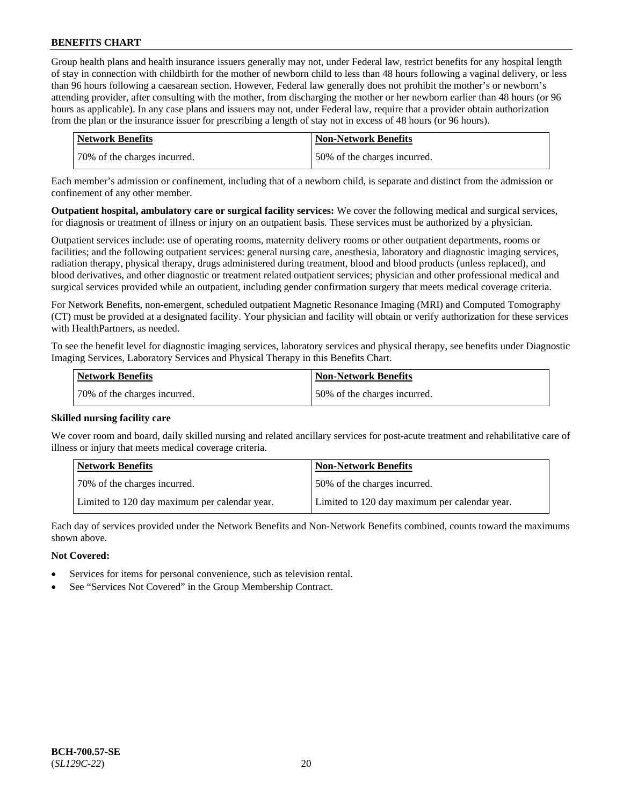Group health plans and health insurance issuers generally may not, under Federal law, restrict benefits for any hospital length of stay in connection with childbirth for the mother of newborn child to less than 48 hours following a vaginal delivery, or less than 96 hours following a caesarean section. However, Federal law generally does not prohibit the mother's or newborn's attending provider, after consulting with the mother, from discharging the mother or her newborn earlier than 48 hours (or 96 hours as applicable). In any case plans and issuers may not, under Federal law, require that a provider obtain authorization from the plan or the insurance issuer for prescribing a length of stay not in excess of 48 hours (or 96 hours).

| <b>Network Benefits</b>      | <b>Non-Network Benefits</b>  |
|------------------------------|------------------------------|
| 70% of the charges incurred. | 50% of the charges incurred. |

Each member's admission or confinement, including that of a newborn child, is separate and distinct from the admission or confinement of any other member.

**Outpatient hospital, ambulatory care or surgical facility services:** We cover the following medical and surgical services, for diagnosis or treatment of illness or injury on an outpatient basis. These services must be authorized by a physician.

Outpatient services include: use of operating rooms, maternity delivery rooms or other outpatient departments, rooms or facilities; and the following outpatient services: general nursing care, anesthesia, laboratory and diagnostic imaging services, radiation therapy, physical therapy, drugs administered during treatment, blood and blood products (unless replaced), and blood derivatives, and other diagnostic or treatment related outpatient services; physician and other professional medical and surgical services provided while an outpatient, including gender confirmation surgery that meets medical coverage criteria.

For Network Benefits, non-emergent, scheduled outpatient Magnetic Resonance Imaging (MRI) and Computed Tomography (CT) must be provided at a designated facility. Your physician and facility will obtain or verify authorization for these services with HealthPartners, as needed.

To see the benefit level for diagnostic imaging services, laboratory services and physical therapy, see benefits under Diagnostic Imaging Services, Laboratory Services and Physical Therapy in this Benefits Chart.

| <b>Network Benefits</b>       | Non-Network Benefits         |
|-------------------------------|------------------------------|
| 170% of the charges incurred. | 50% of the charges incurred. |

### **Skilled nursing facility care**

We cover room and board, daily skilled nursing and related ancillary services for post-acute treatment and rehabilitative care of illness or injury that meets medical coverage criteria.

| Network Benefits                              | <b>Non-Network Benefits</b>                   |
|-----------------------------------------------|-----------------------------------------------|
| 70% of the charges incurred.                  | 50% of the charges incurred.                  |
| Limited to 120 day maximum per calendar year. | Limited to 120 day maximum per calendar year. |

Each day of services provided under the Network Benefits and Non-Network Benefits combined, counts toward the maximums shown above.

### **Not Covered:**

- Services for items for personal convenience, such as television rental.
- See "Services Not Covered" in the Group Membership Contract.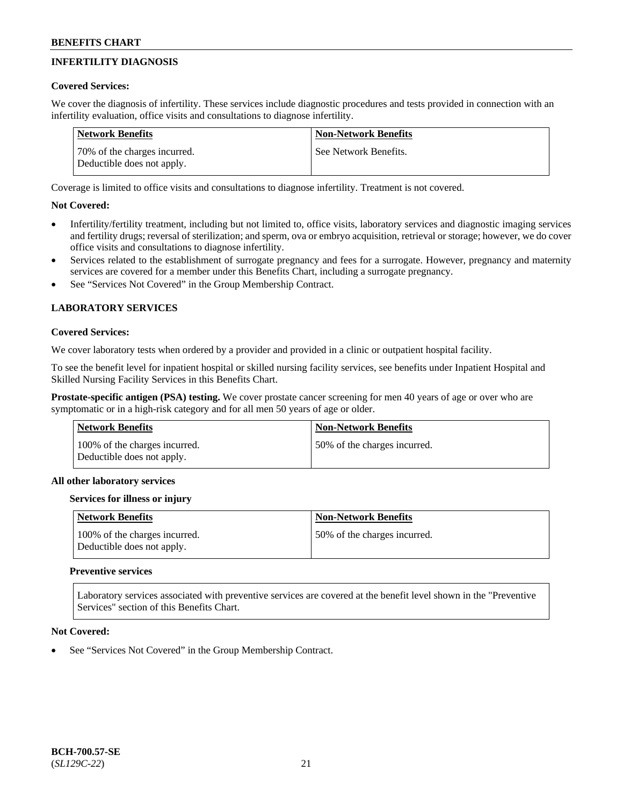# **INFERTILITY DIAGNOSIS**

## **Covered Services:**

We cover the diagnosis of infertility. These services include diagnostic procedures and tests provided in connection with an infertility evaluation, office visits and consultations to diagnose infertility.

| Network Benefits                                           | <b>Non-Network Benefits</b> |
|------------------------------------------------------------|-----------------------------|
| 70% of the charges incurred.<br>Deductible does not apply. | See Network Benefits.       |

Coverage is limited to office visits and consultations to diagnose infertility. Treatment is not covered.

# **Not Covered:**

- Infertility/fertility treatment, including but not limited to, office visits, laboratory services and diagnostic imaging services and fertility drugs; reversal of sterilization; and sperm, ova or embryo acquisition, retrieval or storage; however, we do cover office visits and consultations to diagnose infertility.
- Services related to the establishment of surrogate pregnancy and fees for a surrogate. However, pregnancy and maternity services are covered for a member under this Benefits Chart, including a surrogate pregnancy.
- See "Services Not Covered" in the Group Membership Contract.

# **LABORATORY SERVICES**

#### **Covered Services:**

We cover laboratory tests when ordered by a provider and provided in a clinic or outpatient hospital facility.

To see the benefit level for inpatient hospital or skilled nursing facility services, see benefits under Inpatient Hospital and Skilled Nursing Facility Services in this Benefits Chart.

**Prostate-specific antigen (PSA) testing.** We cover prostate cancer screening for men 40 years of age or over who are symptomatic or in a high-risk category and for all men 50 years of age or older.

| Network Benefits                                            | <b>Non-Network Benefits</b>  |
|-------------------------------------------------------------|------------------------------|
| 100% of the charges incurred.<br>Deductible does not apply. | 50% of the charges incurred. |

### **All other laboratory services**

### **Services for illness or injury**

| Network Benefits                                            | <b>Non-Network Benefits</b>   |
|-------------------------------------------------------------|-------------------------------|
| 100% of the charges incurred.<br>Deductible does not apply. | 150% of the charges incurred. |

### **Preventive services**

Laboratory services associated with preventive services are covered at the benefit level shown in the "Preventive Services" section of this Benefits Chart.

### **Not Covered:**

See "Services Not Covered" in the Group Membership Contract.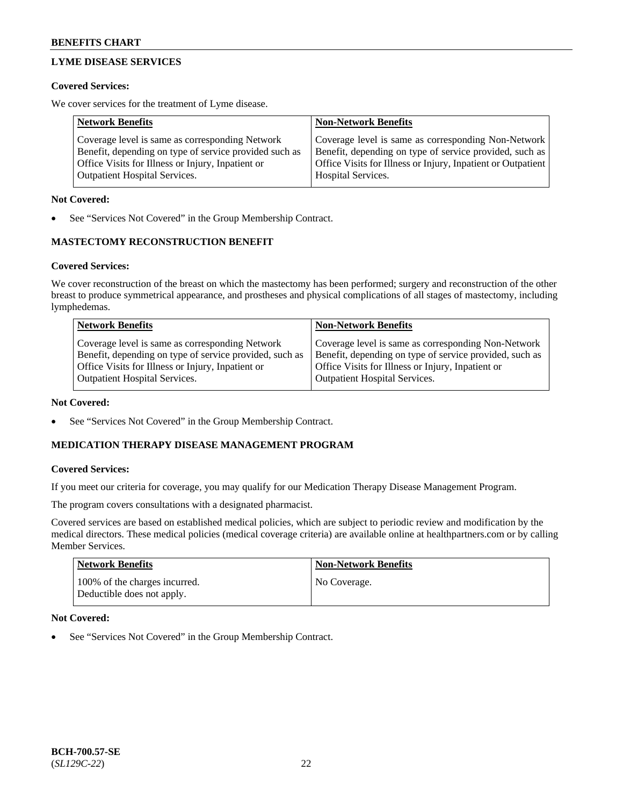# **LYME DISEASE SERVICES**

#### **Covered Services:**

We cover services for the treatment of Lyme disease.

| <b>Network Benefits</b>                                | <b>Non-Network Benefits</b>                                  |
|--------------------------------------------------------|--------------------------------------------------------------|
| Coverage level is same as corresponding Network        | Coverage level is same as corresponding Non-Network          |
| Benefit, depending on type of service provided such as | Benefit, depending on type of service provided, such as      |
| Office Visits for Illness or Injury, Inpatient or      | Office Visits for Illness or Injury, Inpatient or Outpatient |
| <b>Outpatient Hospital Services.</b>                   | Hospital Services.                                           |

#### **Not Covered:**

See "Services Not Covered" in the Group Membership Contract.

## **MASTECTOMY RECONSTRUCTION BENEFIT**

#### **Covered Services:**

We cover reconstruction of the breast on which the mastectomy has been performed; surgery and reconstruction of the other breast to produce symmetrical appearance, and prostheses and physical complications of all stages of mastectomy, including lymphedemas.

| <b>Network Benefits</b>                                 | <b>Non-Network Benefits</b>                             |
|---------------------------------------------------------|---------------------------------------------------------|
| Coverage level is same as corresponding Network         | Coverage level is same as corresponding Non-Network     |
| Benefit, depending on type of service provided, such as | Benefit, depending on type of service provided, such as |
| Office Visits for Illness or Injury, Inpatient or       | Office Visits for Illness or Injury, Inpatient or       |
| <b>Outpatient Hospital Services.</b>                    | <b>Outpatient Hospital Services.</b>                    |

#### **Not Covered:**

See "Services Not Covered" in the Group Membership Contract.

### **MEDICATION THERAPY DISEASE MANAGEMENT PROGRAM**

#### **Covered Services:**

If you meet our criteria for coverage, you may qualify for our Medication Therapy Disease Management Program.

The program covers consultations with a designated pharmacist.

Covered services are based on established medical policies, which are subject to periodic review and modification by the medical directors. These medical policies (medical coverage criteria) are available online at [healthpartners.com](https://www.healthpartners.com/hp/index.html) or by calling Member Services.

| <b>Network Benefits</b>                                     | <b>Non-Network Benefits</b> |
|-------------------------------------------------------------|-----------------------------|
| 100% of the charges incurred.<br>Deductible does not apply. | No Coverage.                |

### **Not Covered:**

See "Services Not Covered" in the Group Membership Contract.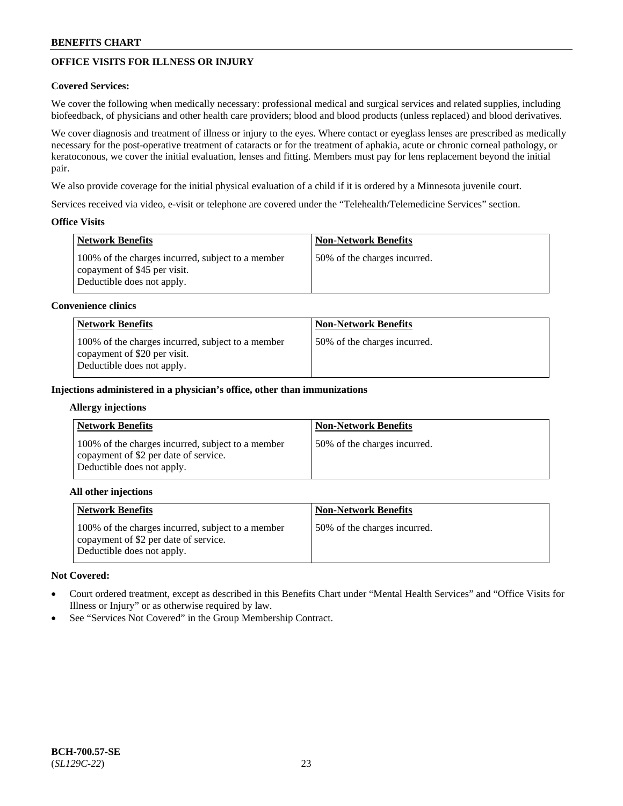# **OFFICE VISITS FOR ILLNESS OR INJURY**

### **Covered Services:**

We cover the following when medically necessary: professional medical and surgical services and related supplies, including biofeedback, of physicians and other health care providers; blood and blood products (unless replaced) and blood derivatives.

We cover diagnosis and treatment of illness or injury to the eyes. Where contact or eyeglass lenses are prescribed as medically necessary for the post-operative treatment of cataracts or for the treatment of aphakia, acute or chronic corneal pathology, or keratoconous, we cover the initial evaluation, lenses and fitting. Members must pay for lens replacement beyond the initial pair.

We also provide coverage for the initial physical evaluation of a child if it is ordered by a Minnesota juvenile court.

Services received via video, e-visit or telephone are covered under the "Telehealth/Telemedicine Services" section.

### **Office Visits**

| Network Benefits                                                                                                | <b>Non-Network Benefits</b>  |
|-----------------------------------------------------------------------------------------------------------------|------------------------------|
| 100% of the charges incurred, subject to a member<br>copayment of \$45 per visit.<br>Deductible does not apply. | 50% of the charges incurred. |

#### **Convenience clinics**

| <b>Network Benefits</b>                                                                                         | <b>Non-Network Benefits</b>   |
|-----------------------------------------------------------------------------------------------------------------|-------------------------------|
| 100% of the charges incurred, subject to a member<br>copayment of \$20 per visit.<br>Deductible does not apply. | 150% of the charges incurred. |

#### **Injections administered in a physician's office, other than immunizations**

#### **Allergy injections**

| <b>Network Benefits</b>                                                                                                  | <b>Non-Network Benefits</b>  |
|--------------------------------------------------------------------------------------------------------------------------|------------------------------|
| 100% of the charges incurred, subject to a member<br>copayment of \$2 per date of service.<br>Deductible does not apply. | 50% of the charges incurred. |

#### **All other injections**

| <b>Network Benefits</b>                                                                                                  | <b>Non-Network Benefits</b>  |
|--------------------------------------------------------------------------------------------------------------------------|------------------------------|
| 100% of the charges incurred, subject to a member<br>copayment of \$2 per date of service.<br>Deductible does not apply. | 50% of the charges incurred. |

### **Not Covered:**

- Court ordered treatment, except as described in this Benefits Chart under "Mental Health Services" and "Office Visits for Illness or Injury" or as otherwise required by law.
- See "Services Not Covered" in the Group Membership Contract.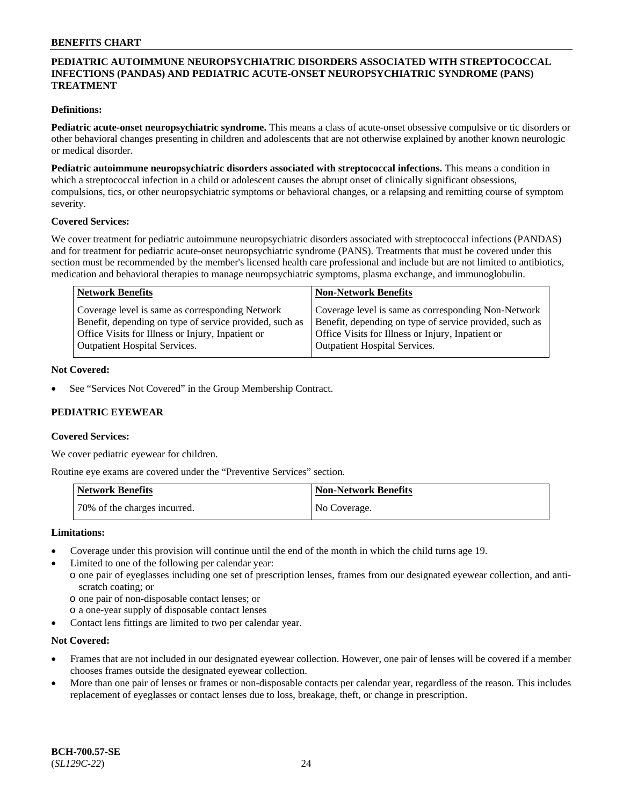### **PEDIATRIC AUTOIMMUNE NEUROPSYCHIATRIC DISORDERS ASSOCIATED WITH STREPTOCOCCAL INFECTIONS (PANDAS) AND PEDIATRIC ACUTE-ONSET NEUROPSYCHIATRIC SYNDROME (PANS) TREATMENT**

### **Definitions:**

**Pediatric acute-onset neuropsychiatric syndrome.** This means a class of acute-onset obsessive compulsive or tic disorders or other behavioral changes presenting in children and adolescents that are not otherwise explained by another known neurologic or medical disorder.

**Pediatric autoimmune neuropsychiatric disorders associated with streptococcal infections.** This means a condition in which a streptococcal infection in a child or adolescent causes the abrupt onset of clinically significant obsessions, compulsions, tics, or other neuropsychiatric symptoms or behavioral changes, or a relapsing and remitting course of symptom severity.

#### **Covered Services:**

We cover treatment for pediatric autoimmune neuropsychiatric disorders associated with streptococcal infections (PANDAS) and for treatment for pediatric acute-onset neuropsychiatric syndrome (PANS). Treatments that must be covered under this section must be recommended by the member's licensed health care professional and include but are not limited to antibiotics, medication and behavioral therapies to manage neuropsychiatric symptoms, plasma exchange, and immunoglobulin.

| <b>Network Benefits</b>                                 | <b>Non-Network Benefits</b>                             |
|---------------------------------------------------------|---------------------------------------------------------|
| Coverage level is same as corresponding Network         | Coverage level is same as corresponding Non-Network     |
| Benefit, depending on type of service provided, such as | Benefit, depending on type of service provided, such as |
| Office Visits for Illness or Injury, Inpatient or       | Office Visits for Illness or Injury, Inpatient or       |
| <b>Outpatient Hospital Services.</b>                    | <b>Outpatient Hospital Services.</b>                    |

#### **Not Covered:**

See "Services Not Covered" in the Group Membership Contract.

### **PEDIATRIC EYEWEAR**

#### **Covered Services:**

We cover pediatric eyewear for children.

Routine eye exams are covered under the "Preventive Services" section.

| <b>Network Benefits</b>      | <b>Non-Network Benefits</b> |
|------------------------------|-----------------------------|
| 70% of the charges incurred. | No Coverage.                |

#### **Limitations:**

- Coverage under this provision will continue until the end of the month in which the child turns age 19.
- Limited to one of the following per calendar year:
- o one pair of eyeglasses including one set of prescription lenses, frames from our designated eyewear collection, and antiscratch coating; or
	- o one pair of non-disposable contact lenses; or
	- o a one-year supply of disposable contact lenses
- Contact lens fittings are limited to two per calendar year.

### **Not Covered:**

- Frames that are not included in our designated eyewear collection. However, one pair of lenses will be covered if a member chooses frames outside the designated eyewear collection.
- More than one pair of lenses or frames or non-disposable contacts per calendar year, regardless of the reason. This includes replacement of eyeglasses or contact lenses due to loss, breakage, theft, or change in prescription.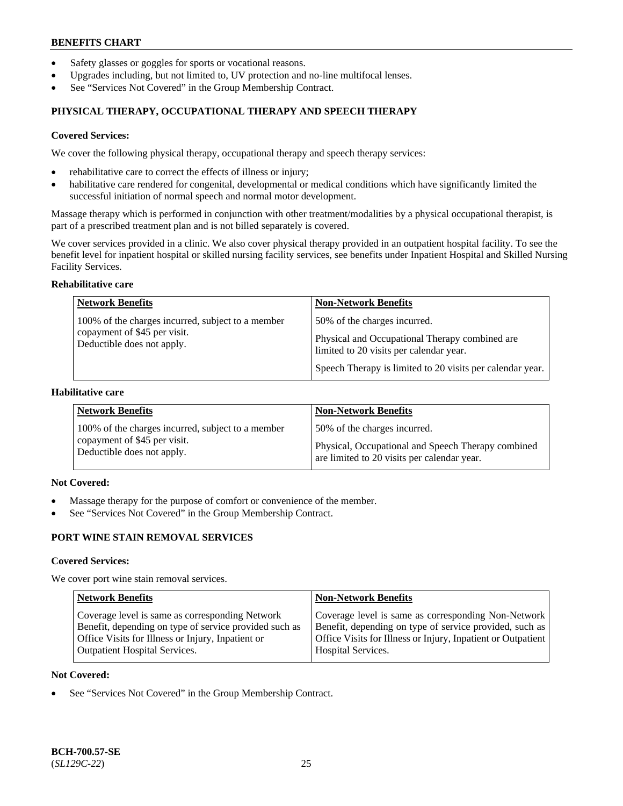- Safety glasses or goggles for sports or vocational reasons.
- Upgrades including, but not limited to, UV protection and no-line multifocal lenses.
- See "Services Not Covered" in the Group Membership Contract.

# **PHYSICAL THERAPY, OCCUPATIONAL THERAPY AND SPEECH THERAPY**

#### **Covered Services:**

We cover the following physical therapy, occupational therapy and speech therapy services:

- rehabilitative care to correct the effects of illness or injury;
- habilitative care rendered for congenital, developmental or medical conditions which have significantly limited the successful initiation of normal speech and normal motor development.

Massage therapy which is performed in conjunction with other treatment/modalities by a physical occupational therapist, is part of a prescribed treatment plan and is not billed separately is covered.

We cover services provided in a clinic. We also cover physical therapy provided in an outpatient hospital facility. To see the benefit level for inpatient hospital or skilled nursing facility services, see benefits under Inpatient Hospital and Skilled Nursing Facility Services.

#### **Rehabilitative care**

| <b>Network Benefits</b>                                                                                         | <b>Non-Network Benefits</b>                                                                                                                                                            |
|-----------------------------------------------------------------------------------------------------------------|----------------------------------------------------------------------------------------------------------------------------------------------------------------------------------------|
| 100% of the charges incurred, subject to a member<br>copayment of \$45 per visit.<br>Deductible does not apply. | 50% of the charges incurred.<br>Physical and Occupational Therapy combined are<br>limited to 20 visits per calendar year.<br>Speech Therapy is limited to 20 visits per calendar year. |

### **Habilitative care**

| <b>Network Benefits</b>                           | <b>Non-Network Benefits</b>                        |
|---------------------------------------------------|----------------------------------------------------|
| 100% of the charges incurred, subject to a member | 50% of the charges incurred.                       |
| copayment of \$45 per visit.                      | Physical, Occupational and Speech Therapy combined |
| Deductible does not apply.                        | are limited to 20 visits per calendar year.        |

# **Not Covered:**

- Massage therapy for the purpose of comfort or convenience of the member.
- See "Services Not Covered" in the Group Membership Contract.

# **PORT WINE STAIN REMOVAL SERVICES**

#### **Covered Services:**

We cover port wine stain removal services.

| <b>Network Benefits</b>                                | <b>Non-Network Benefits</b>                                  |
|--------------------------------------------------------|--------------------------------------------------------------|
| Coverage level is same as corresponding Network        | Coverage level is same as corresponding Non-Network          |
| Benefit, depending on type of service provided such as | Benefit, depending on type of service provided, such as      |
| Office Visits for Illness or Injury, Inpatient or      | Office Visits for Illness or Injury, Inpatient or Outpatient |
| <b>Outpatient Hospital Services.</b>                   | Hospital Services.                                           |

#### **Not Covered:**

See "Services Not Covered" in the Group Membership Contract.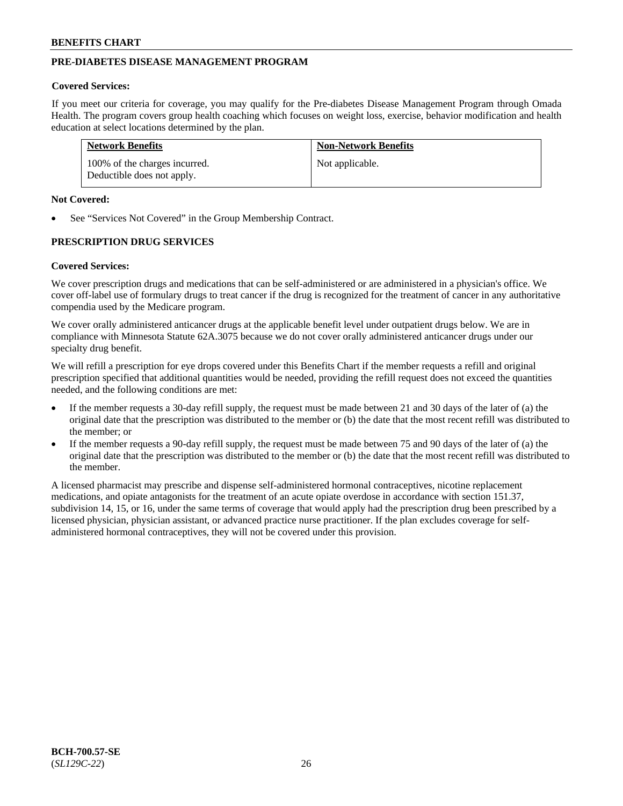# **PRE-DIABETES DISEASE MANAGEMENT PROGRAM**

#### **Covered Services:**

If you meet our criteria for coverage, you may qualify for the Pre-diabetes Disease Management Program through Omada Health. The program covers group health coaching which focuses on weight loss, exercise, behavior modification and health education at select locations determined by the plan.

| <b>Network Benefits</b>                                     | <b>Non-Network Benefits</b> |
|-------------------------------------------------------------|-----------------------------|
| 100% of the charges incurred.<br>Deductible does not apply. | Not applicable.             |

#### **Not Covered:**

See "Services Not Covered" in the Group Membership Contract.

### **PRESCRIPTION DRUG SERVICES**

#### **Covered Services:**

We cover prescription drugs and medications that can be self-administered or are administered in a physician's office. We cover off-label use of formulary drugs to treat cancer if the drug is recognized for the treatment of cancer in any authoritative compendia used by the Medicare program.

We cover orally administered anticancer drugs at the applicable benefit level under outpatient drugs below. We are in compliance with Minnesota Statute 62A.3075 because we do not cover orally administered anticancer drugs under our specialty drug benefit.

We will refill a prescription for eye drops covered under this Benefits Chart if the member requests a refill and original prescription specified that additional quantities would be needed, providing the refill request does not exceed the quantities needed, and the following conditions are met:

- If the member requests a 30-day refill supply, the request must be made between 21 and 30 days of the later of (a) the original date that the prescription was distributed to the member or (b) the date that the most recent refill was distributed to the member; or
- If the member requests a 90-day refill supply, the request must be made between 75 and 90 days of the later of (a) the original date that the prescription was distributed to the member or (b) the date that the most recent refill was distributed to the member.

A licensed pharmacist may prescribe and dispense self-administered hormonal contraceptives, nicotine replacement medications, and opiate antagonists for the treatment of an acute opiate overdose in accordance with section 151.37, subdivision 14, 15, or 16, under the same terms of coverage that would apply had the prescription drug been prescribed by a licensed physician, physician assistant, or advanced practice nurse practitioner. If the plan excludes coverage for selfadministered hormonal contraceptives, they will not be covered under this provision.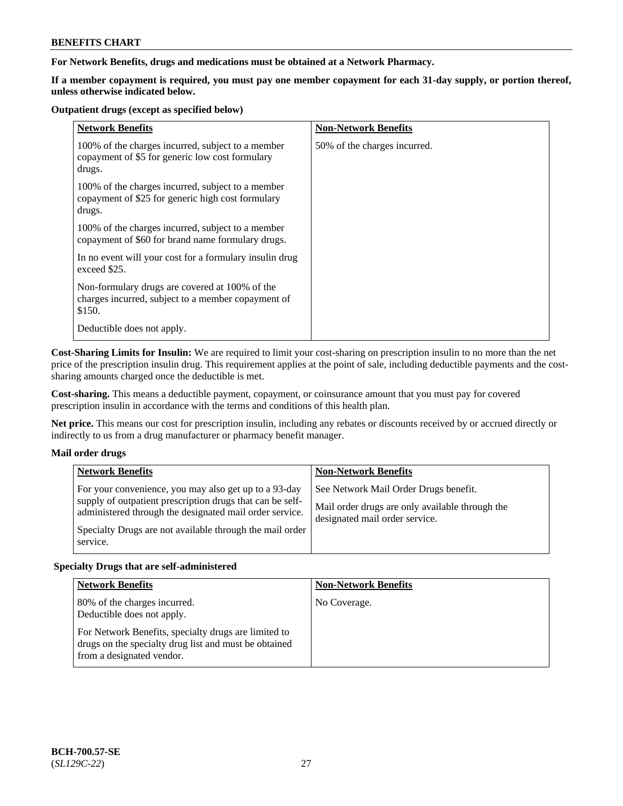### **For Network Benefits, drugs and medications must be obtained at a Network Pharmacy.**

**If a member copayment is required, you must pay one member copayment for each 31-day supply, or portion thereof, unless otherwise indicated below.**

#### **Outpatient drugs (except as specified below)**

| <b>Network Benefits</b>                                                                                          | <b>Non-Network Benefits</b>  |
|------------------------------------------------------------------------------------------------------------------|------------------------------|
| 100% of the charges incurred, subject to a member<br>copayment of \$5 for generic low cost formulary<br>drugs.   | 50% of the charges incurred. |
| 100% of the charges incurred, subject to a member<br>copayment of \$25 for generic high cost formulary<br>drugs. |                              |
| 100% of the charges incurred, subject to a member<br>copayment of \$60 for brand name formulary drugs.           |                              |
| In no event will your cost for a formulary insulin drug<br>exceed \$25.                                          |                              |
| Non-formulary drugs are covered at 100% of the<br>charges incurred, subject to a member copayment of<br>\$150.   |                              |
| Deductible does not apply.                                                                                       |                              |

**Cost-Sharing Limits for Insulin:** We are required to limit your cost-sharing on prescription insulin to no more than the net price of the prescription insulin drug. This requirement applies at the point of sale, including deductible payments and the costsharing amounts charged once the deductible is met.

**Cost-sharing.** This means a deductible payment, copayment, or coinsurance amount that you must pay for covered prescription insulin in accordance with the terms and conditions of this health plan.

**Net price.** This means our cost for prescription insulin, including any rebates or discounts received by or accrued directly or indirectly to us from a drug manufacturer or pharmacy benefit manager.

### **Mail order drugs**

| <b>Network Benefits</b>                                                                                                                                                                                                                               | <b>Non-Network Benefits</b>                                                                                                |
|-------------------------------------------------------------------------------------------------------------------------------------------------------------------------------------------------------------------------------------------------------|----------------------------------------------------------------------------------------------------------------------------|
| For your convenience, you may also get up to a 93-day<br>supply of outpatient prescription drugs that can be self-<br>administered through the designated mail order service.<br>Specialty Drugs are not available through the mail order<br>service. | See Network Mail Order Drugs benefit.<br>Mail order drugs are only available through the<br>designated mail order service. |

### **Specialty Drugs that are self-administered**

| <b>Network Benefits</b>                                                                                                                    | <b>Non-Network Benefits</b> |
|--------------------------------------------------------------------------------------------------------------------------------------------|-----------------------------|
| 80% of the charges incurred.<br>Deductible does not apply.                                                                                 | No Coverage.                |
| For Network Benefits, specialty drugs are limited to<br>drugs on the specialty drug list and must be obtained<br>from a designated vendor. |                             |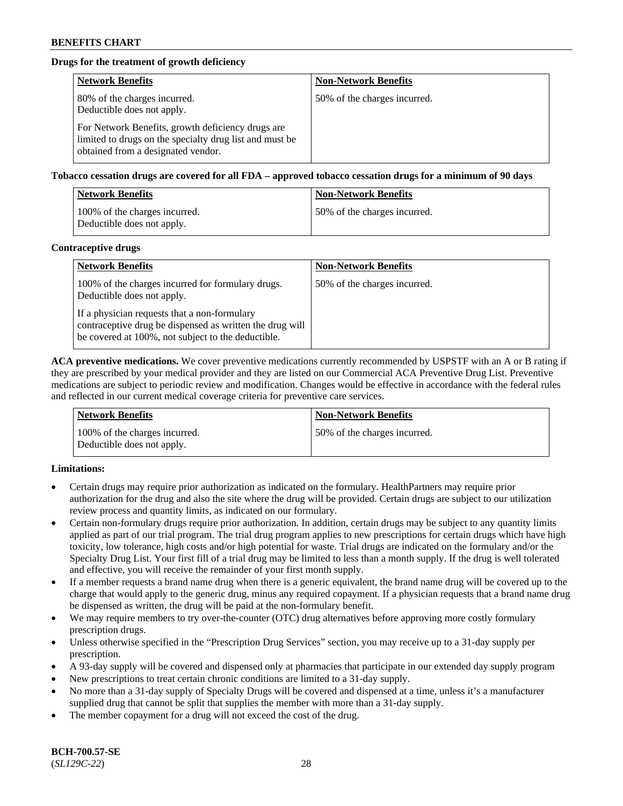# **Drugs for the treatment of growth deficiency**

| <b>Network Benefits</b>                                                                                                                            | <b>Non-Network Benefits</b>  |
|----------------------------------------------------------------------------------------------------------------------------------------------------|------------------------------|
| 80% of the charges incurred.<br>Deductible does not apply.                                                                                         | 50% of the charges incurred. |
| For Network Benefits, growth deficiency drugs are<br>limited to drugs on the specialty drug list and must be<br>obtained from a designated vendor. |                              |

**Tobacco cessation drugs are covered for all FDA – approved tobacco cessation drugs for a minimum of 90 days**

| <b>Network Benefits</b>                                     | <b>Non-Network Benefits</b>  |
|-------------------------------------------------------------|------------------------------|
| 100% of the charges incurred.<br>Deductible does not apply. | 50% of the charges incurred. |

#### **Contraceptive drugs**

| <b>Network Benefits</b>                                                                                                                                        | <b>Non-Network Benefits</b>  |
|----------------------------------------------------------------------------------------------------------------------------------------------------------------|------------------------------|
| 100% of the charges incurred for formulary drugs.<br>Deductible does not apply.                                                                                | 50% of the charges incurred. |
| If a physician requests that a non-formulary<br>contraceptive drug be dispensed as written the drug will<br>be covered at 100%, not subject to the deductible. |                              |

**ACA preventive medications.** We cover preventive medications currently recommended by USPSTF with an A or B rating if they are prescribed by your medical provider and they are listed on our Commercial ACA Preventive Drug List. Preventive medications are subject to periodic review and modification. Changes would be effective in accordance with the federal rules and reflected in our current medical coverage criteria for preventive care services.

| <b>Network Benefits</b>                                     | <b>Non-Network Benefits</b>   |
|-------------------------------------------------------------|-------------------------------|
| 100% of the charges incurred.<br>Deductible does not apply. | 150% of the charges incurred. |

### **Limitations:**

- Certain drugs may require prior authorization as indicated on the formulary. HealthPartners may require prior authorization for the drug and also the site where the drug will be provided. Certain drugs are subject to our utilization review process and quantity limits, as indicated on our formulary.
- Certain non-formulary drugs require prior authorization. In addition, certain drugs may be subject to any quantity limits applied as part of our trial program. The trial drug program applies to new prescriptions for certain drugs which have high toxicity, low tolerance, high costs and/or high potential for waste. Trial drugs are indicated on the formulary and/or the Specialty Drug List. Your first fill of a trial drug may be limited to less than a month supply. If the drug is well tolerated and effective, you will receive the remainder of your first month supply.
- If a member requests a brand name drug when there is a generic equivalent, the brand name drug will be covered up to the charge that would apply to the generic drug, minus any required copayment. If a physician requests that a brand name drug be dispensed as written, the drug will be paid at the non-formulary benefit.
- We may require members to try over-the-counter (OTC) drug alternatives before approving more costly formulary prescription drugs.
- Unless otherwise specified in the "Prescription Drug Services" section, you may receive up to a 31-day supply per prescription.
- A 93-day supply will be covered and dispensed only at pharmacies that participate in our extended day supply program
- New prescriptions to treat certain chronic conditions are limited to a 31-day supply.
- No more than a 31-day supply of Specialty Drugs will be covered and dispensed at a time, unless it's a manufacturer supplied drug that cannot be split that supplies the member with more than a 31-day supply.
- The member copayment for a drug will not exceed the cost of the drug.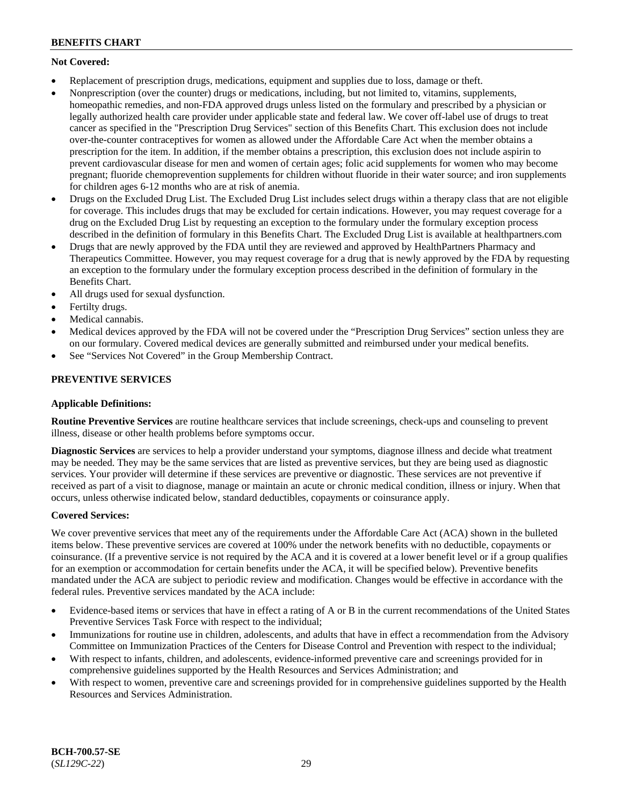# **Not Covered:**

- Replacement of prescription drugs, medications, equipment and supplies due to loss, damage or theft.
- Nonprescription (over the counter) drugs or medications, including, but not limited to, vitamins, supplements, homeopathic remedies, and non-FDA approved drugs unless listed on the formulary and prescribed by a physician or legally authorized health care provider under applicable state and federal law. We cover off-label use of drugs to treat cancer as specified in the "Prescription Drug Services" section of this Benefits Chart. This exclusion does not include over-the-counter contraceptives for women as allowed under the Affordable Care Act when the member obtains a prescription for the item. In addition, if the member obtains a prescription, this exclusion does not include aspirin to prevent cardiovascular disease for men and women of certain ages; folic acid supplements for women who may become pregnant; fluoride chemoprevention supplements for children without fluoride in their water source; and iron supplements for children ages 6-12 months who are at risk of anemia.
- Drugs on the Excluded Drug List. The Excluded Drug List includes select drugs within a therapy class that are not eligible for coverage. This includes drugs that may be excluded for certain indications. However, you may request coverage for a drug on the Excluded Drug List by requesting an exception to the formulary under the formulary exception process described in the definition of formulary in this Benefits Chart. The Excluded Drug List is available at [healthpartners.com](http://www.healthpartners.com/)
- Drugs that are newly approved by the FDA until they are reviewed and approved by HealthPartners Pharmacy and Therapeutics Committee. However, you may request coverage for a drug that is newly approved by the FDA by requesting an exception to the formulary under the formulary exception process described in the definition of formulary in the Benefits Chart.
- All drugs used for sexual dysfunction.
- Fertilty drugs.
- Medical cannabis.
- Medical devices approved by the FDA will not be covered under the "Prescription Drug Services" section unless they are on our formulary. Covered medical devices are generally submitted and reimbursed under your medical benefits.
- See "Services Not Covered" in the Group Membership Contract.

# **PREVENTIVE SERVICES**

### **Applicable Definitions:**

**Routine Preventive Services** are routine healthcare services that include screenings, check-ups and counseling to prevent illness, disease or other health problems before symptoms occur.

**Diagnostic Services** are services to help a provider understand your symptoms, diagnose illness and decide what treatment may be needed. They may be the same services that are listed as preventive services, but they are being used as diagnostic services. Your provider will determine if these services are preventive or diagnostic. These services are not preventive if received as part of a visit to diagnose, manage or maintain an acute or chronic medical condition, illness or injury. When that occurs, unless otherwise indicated below, standard deductibles, copayments or coinsurance apply.

### **Covered Services:**

We cover preventive services that meet any of the requirements under the Affordable Care Act (ACA) shown in the bulleted items below. These preventive services are covered at 100% under the network benefits with no deductible, copayments or coinsurance. (If a preventive service is not required by the ACA and it is covered at a lower benefit level or if a group qualifies for an exemption or accommodation for certain benefits under the ACA, it will be specified below). Preventive benefits mandated under the ACA are subject to periodic review and modification. Changes would be effective in accordance with the federal rules. Preventive services mandated by the ACA include:

- Evidence-based items or services that have in effect a rating of A or B in the current recommendations of the United States Preventive Services Task Force with respect to the individual;
- Immunizations for routine use in children, adolescents, and adults that have in effect a recommendation from the Advisory Committee on Immunization Practices of the Centers for Disease Control and Prevention with respect to the individual;
- With respect to infants, children, and adolescents, evidence-informed preventive care and screenings provided for in comprehensive guidelines supported by the Health Resources and Services Administration; and
- With respect to women, preventive care and screenings provided for in comprehensive guidelines supported by the Health Resources and Services Administration.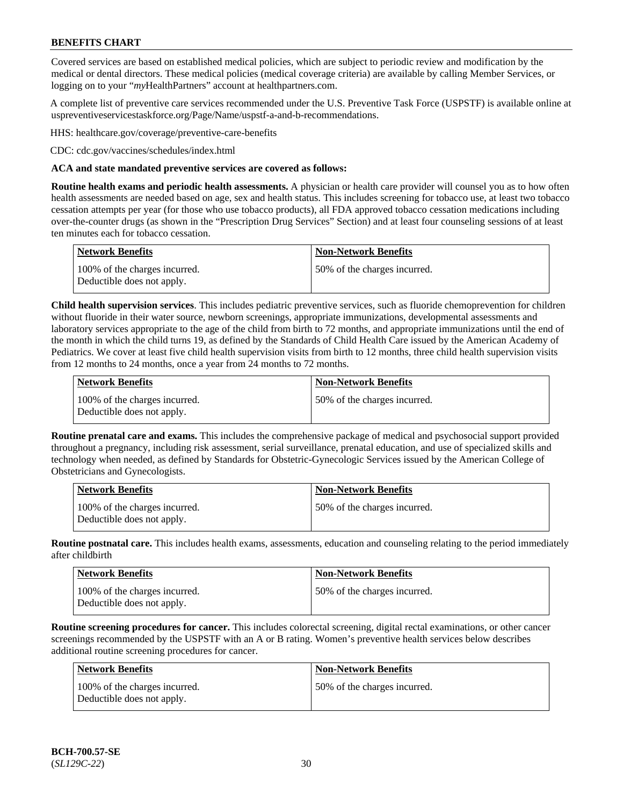Covered services are based on established medical policies, which are subject to periodic review and modification by the medical or dental directors. These medical policies (medical coverage criteria) are available by calling Member Services, or logging on to your "*my*HealthPartners" account at [healthpartners.com.](http://www.healthpartners.com/)

A complete list of preventive care services recommended under the U.S. Preventive Task Force (USPSTF) is available online at [uspreventiveservicestaskforce.org/Page/Name/uspstf-a-and-b-recommendations.](https://www.uspreventiveservicestaskforce.org/Page/Name/uspstf-a-and-b-recommendations-by-date/)

HHS: [healthcare.gov/coverage/preventive-care-benefits](https://www.healthcare.gov/coverage/preventive-care-benefits/)

CDC: [cdc.gov/vaccines/schedules/index.html](https://www.cdc.gov/vaccines/schedules/index.html)

#### **ACA and state mandated preventive services are covered as follows:**

**Routine health exams and periodic health assessments.** A physician or health care provider will counsel you as to how often health assessments are needed based on age, sex and health status. This includes screening for tobacco use, at least two tobacco cessation attempts per year (for those who use tobacco products), all FDA approved tobacco cessation medications including over-the-counter drugs (as shown in the "Prescription Drug Services" Section) and at least four counseling sessions of at least ten minutes each for tobacco cessation.

| Network Benefits                                            | <b>Non-Network Benefits</b>  |
|-------------------------------------------------------------|------------------------------|
| 100% of the charges incurred.<br>Deductible does not apply. | 50% of the charges incurred. |

**Child health supervision services**. This includes pediatric preventive services, such as fluoride chemoprevention for children without fluoride in their water source, newborn screenings, appropriate immunizations, developmental assessments and laboratory services appropriate to the age of the child from birth to 72 months, and appropriate immunizations until the end of the month in which the child turns 19, as defined by the Standards of Child Health Care issued by the American Academy of Pediatrics. We cover at least five child health supervision visits from birth to 12 months, three child health supervision visits from 12 months to 24 months, once a year from 24 months to 72 months.

| Network Benefits                                            | <b>Non-Network Benefits</b>  |
|-------------------------------------------------------------|------------------------------|
| 100% of the charges incurred.<br>Deductible does not apply. | 50% of the charges incurred. |

**Routine prenatal care and exams.** This includes the comprehensive package of medical and psychosocial support provided throughout a pregnancy, including risk assessment, serial surveillance, prenatal education, and use of specialized skills and technology when needed, as defined by Standards for Obstetric-Gynecologic Services issued by the American College of Obstetricians and Gynecologists.

| <b>Network Benefits</b>                                     | Non-Network Benefits         |
|-------------------------------------------------------------|------------------------------|
| 100% of the charges incurred.<br>Deductible does not apply. | 50% of the charges incurred. |

**Routine postnatal care.** This includes health exams, assessments, education and counseling relating to the period immediately after childbirth

| <b>Network Benefits</b>                                     | <b>Non-Network Benefits</b>  |
|-------------------------------------------------------------|------------------------------|
| 100% of the charges incurred.<br>Deductible does not apply. | 50% of the charges incurred. |

**Routine screening procedures for cancer.** This includes colorectal screening, digital rectal examinations, or other cancer screenings recommended by the USPSTF with an A or B rating. Women's preventive health services below describes additional routine screening procedures for cancer.

| <b>Network Benefits</b>                                     | <b>Non-Network Benefits</b>  |
|-------------------------------------------------------------|------------------------------|
| 100% of the charges incurred.<br>Deductible does not apply. | 50% of the charges incurred. |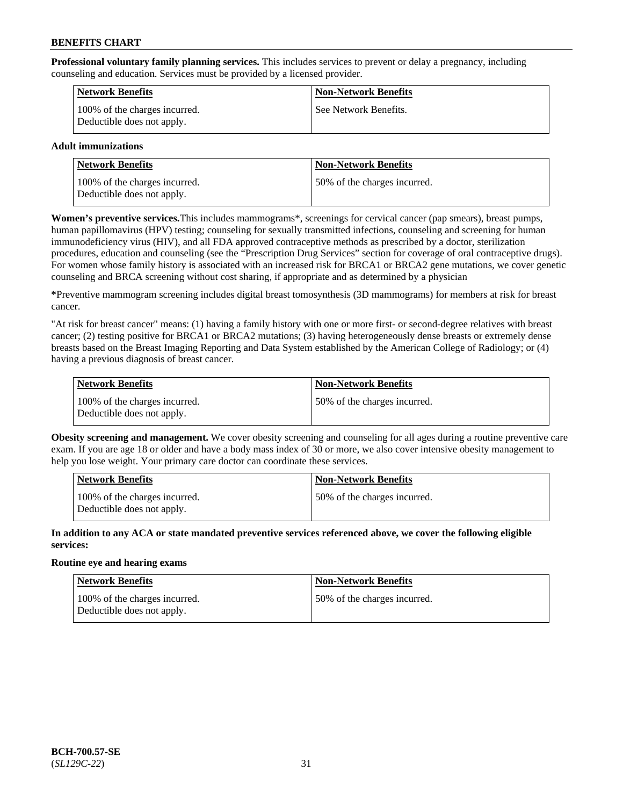**Professional voluntary family planning services.** This includes services to prevent or delay a pregnancy, including counseling and education. Services must be provided by a licensed provider.

| <b>Network Benefits</b>                                     | <b>Non-Network Benefits</b> |
|-------------------------------------------------------------|-----------------------------|
| 100% of the charges incurred.<br>Deductible does not apply. | See Network Benefits.       |

### **Adult immunizations**

| <b>Network Benefits</b>                                     | <b>Non-Network Benefits</b>  |
|-------------------------------------------------------------|------------------------------|
| 100% of the charges incurred.<br>Deductible does not apply. | 50% of the charges incurred. |

**Women's preventive services.**This includes mammograms\*, screenings for cervical cancer (pap smears), breast pumps, human papillomavirus (HPV) testing; counseling for sexually transmitted infections, counseling and screening for human immunodeficiency virus (HIV), and all FDA approved contraceptive methods as prescribed by a doctor, sterilization procedures, education and counseling (see the "Prescription Drug Services" section for coverage of oral contraceptive drugs). For women whose family history is associated with an increased risk for BRCA1 or BRCA2 gene mutations, we cover genetic counseling and BRCA screening without cost sharing, if appropriate and as determined by a physician

**\***Preventive mammogram screening includes digital breast tomosynthesis (3D mammograms) for members at risk for breast cancer.

"At risk for breast cancer" means: (1) having a family history with one or more first- or second-degree relatives with breast cancer; (2) testing positive for BRCA1 or BRCA2 mutations; (3) having heterogeneously dense breasts or extremely dense breasts based on the Breast Imaging Reporting and Data System established by the American College of Radiology; or (4) having a previous diagnosis of breast cancer.

| <b>Network Benefits</b>                                     | <b>Non-Network Benefits</b>  |
|-------------------------------------------------------------|------------------------------|
| 100% of the charges incurred.<br>Deductible does not apply. | 50% of the charges incurred. |

**Obesity screening and management.** We cover obesity screening and counseling for all ages during a routine preventive care exam. If you are age 18 or older and have a body mass index of 30 or more, we also cover intensive obesity management to help you lose weight. Your primary care doctor can coordinate these services.

| <b>Network Benefits</b>                                     | <b>Non-Network Benefits</b>   |
|-------------------------------------------------------------|-------------------------------|
| 100% of the charges incurred.<br>Deductible does not apply. | 150% of the charges incurred. |

**In addition to any ACA or state mandated preventive services referenced above, we cover the following eligible services:**

#### **Routine eye and hearing exams**

| Network Benefits                                            | <b>Non-Network Benefits</b>  |
|-------------------------------------------------------------|------------------------------|
| 100% of the charges incurred.<br>Deductible does not apply. | 50% of the charges incurred. |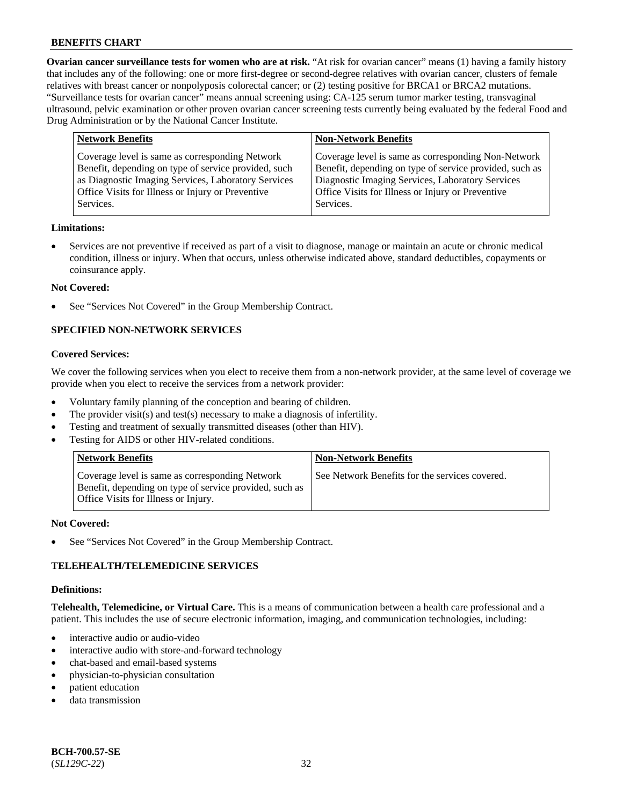**Ovarian cancer surveillance tests for women who are at risk.** "At risk for ovarian cancer" means (1) having a family history that includes any of the following: one or more first-degree or second-degree relatives with ovarian cancer, clusters of female relatives with breast cancer or nonpolyposis colorectal cancer; or (2) testing positive for BRCA1 or BRCA2 mutations. "Surveillance tests for ovarian cancer" means annual screening using: CA-125 serum tumor marker testing, transvaginal ultrasound, pelvic examination or other proven ovarian cancer screening tests currently being evaluated by the federal Food and Drug Administration or by the National Cancer Institute.

| <b>Network Benefits</b>                                                                                                                                                                                                          | <b>Non-Network Benefits</b>                                                                                                                                                                                                          |
|----------------------------------------------------------------------------------------------------------------------------------------------------------------------------------------------------------------------------------|--------------------------------------------------------------------------------------------------------------------------------------------------------------------------------------------------------------------------------------|
| Coverage level is same as corresponding Network<br>Benefit, depending on type of service provided, such<br>as Diagnostic Imaging Services, Laboratory Services<br>Office Visits for Illness or Injury or Preventive<br>Services. | Coverage level is same as corresponding Non-Network<br>Benefit, depending on type of service provided, such as<br>Diagnostic Imaging Services, Laboratory Services<br>Office Visits for Illness or Injury or Preventive<br>Services. |
|                                                                                                                                                                                                                                  |                                                                                                                                                                                                                                      |

#### **Limitations:**

• Services are not preventive if received as part of a visit to diagnose, manage or maintain an acute or chronic medical condition, illness or injury. When that occurs, unless otherwise indicated above, standard deductibles, copayments or coinsurance apply.

#### **Not Covered:**

See "Services Not Covered" in the Group Membership Contract.

# **SPECIFIED NON-NETWORK SERVICES**

## **Covered Services:**

We cover the following services when you elect to receive them from a non-network provider, at the same level of coverage we provide when you elect to receive the services from a network provider:

- Voluntary family planning of the conception and bearing of children.
- The provider visit(s) and test(s) necessary to make a diagnosis of infertility.
- Testing and treatment of sexually transmitted diseases (other than HIV).
- Testing for AIDS or other HIV-related conditions.

| <b>Network Benefits</b>                                                                                                                            | <b>Non-Network Benefits</b>                    |
|----------------------------------------------------------------------------------------------------------------------------------------------------|------------------------------------------------|
| Coverage level is same as corresponding Network<br>Benefit, depending on type of service provided, such as<br>Office Visits for Illness or Injury. | See Network Benefits for the services covered. |

#### **Not Covered:**

See "Services Not Covered" in the Group Membership Contract.

### **TELEHEALTH/TELEMEDICINE SERVICES**

#### **Definitions:**

**Telehealth, Telemedicine, or Virtual Care.** This is a means of communication between a health care professional and a patient. This includes the use of secure electronic information, imaging, and communication technologies, including:

- interactive audio or audio-video
- interactive audio with store-and-forward technology
- chat-based and email-based systems
- physician-to-physician consultation
- patient education
- data transmission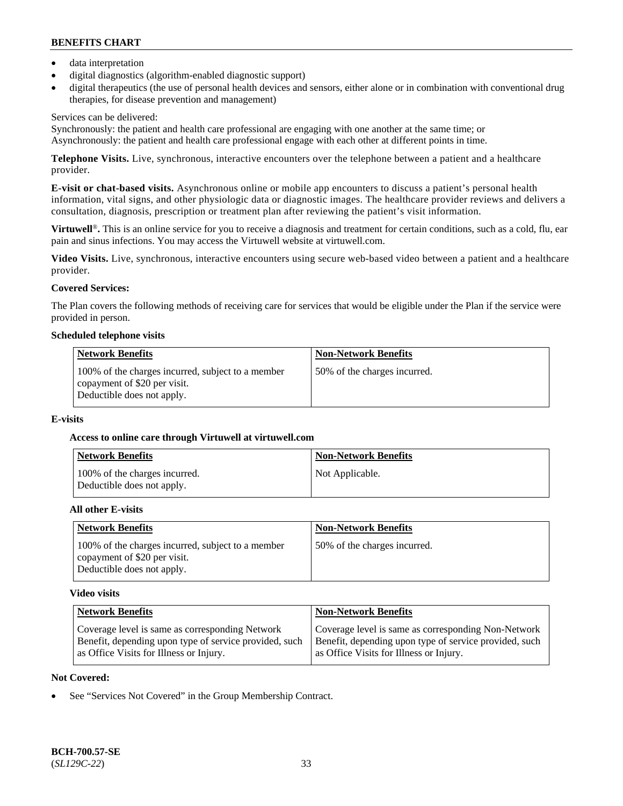- data interpretation
- digital diagnostics (algorithm-enabled diagnostic support)
- digital therapeutics (the use of personal health devices and sensors, either alone or in combination with conventional drug therapies, for disease prevention and management)

## Services can be delivered:

Synchronously: the patient and health care professional are engaging with one another at the same time; or Asynchronously: the patient and health care professional engage with each other at different points in time.

**Telephone Visits.** Live, synchronous, interactive encounters over the telephone between a patient and a healthcare provider.

**E-visit or chat-based visits.** Asynchronous online or mobile app encounters to discuss a patient's personal health information, vital signs, and other physiologic data or diagnostic images. The healthcare provider reviews and delivers a consultation, diagnosis, prescription or treatment plan after reviewing the patient's visit information.

**Virtuwell<sup>®</sup>**. This is an online service for you to receive a diagnosis and treatment for certain conditions, such as a cold, flu, ear pain and sinus infections. You may access the Virtuwell website at [virtuwell.com.](https://www.virtuwell.com/)

**Video Visits.** Live, synchronous, interactive encounters using secure web-based video between a patient and a healthcare provider.

# **Covered Services:**

The Plan covers the following methods of receiving care for services that would be eligible under the Plan if the service were provided in person.

#### **Scheduled telephone visits**

| <b>Network Benefits</b>                                                                                         | <b>Non-Network Benefits</b>  |
|-----------------------------------------------------------------------------------------------------------------|------------------------------|
| 100% of the charges incurred, subject to a member<br>copayment of \$20 per visit.<br>Deductible does not apply. | 50% of the charges incurred. |

### **E-visits**

### **Access to online care through Virtuwell at [virtuwell.com](https://www.virtuwell.com/)**

| Network Benefits                                            | <b>Non-Network Benefits</b> |
|-------------------------------------------------------------|-----------------------------|
| 100% of the charges incurred.<br>Deductible does not apply. | Not Applicable.             |

### **All other E-visits**

| <b>Network Benefits</b>                                                                                         | <b>Non-Network Benefits</b>  |
|-----------------------------------------------------------------------------------------------------------------|------------------------------|
| 100% of the charges incurred, subject to a member<br>copayment of \$20 per visit.<br>Deductible does not apply. | 50% of the charges incurred. |

### **Video visits**

| <b>Network Benefits</b>                                | <b>Non-Network Benefits</b>                            |
|--------------------------------------------------------|--------------------------------------------------------|
| Coverage level is same as corresponding Network        | Coverage level is same as corresponding Non-Network    |
| Benefit, depending upon type of service provided, such | Benefit, depending upon type of service provided, such |
| as Office Visits for Illness or Injury.                | as Office Visits for Illness or Injury.                |

### **Not Covered:**

See "Services Not Covered" in the Group Membership Contract.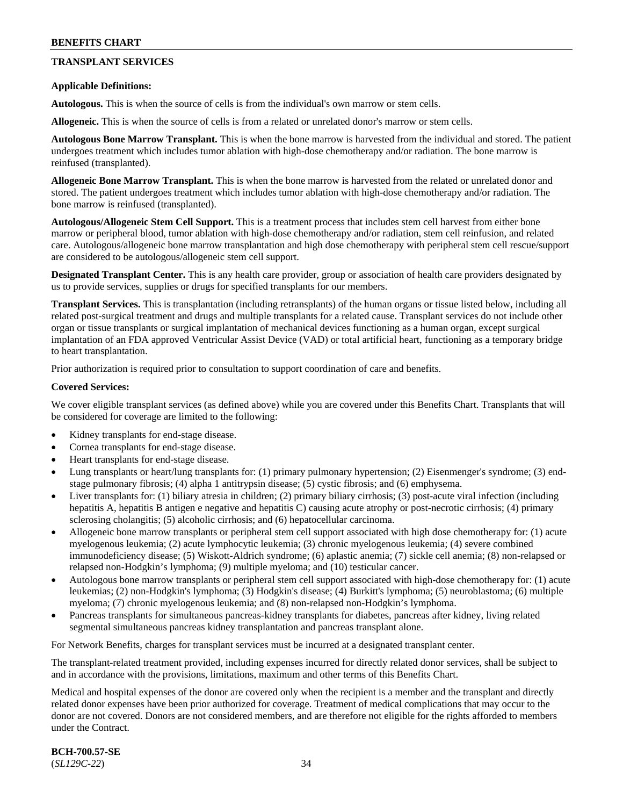# **TRANSPLANT SERVICES**

#### **Applicable Definitions:**

**Autologous.** This is when the source of cells is from the individual's own marrow or stem cells.

**Allogeneic.** This is when the source of cells is from a related or unrelated donor's marrow or stem cells.

**Autologous Bone Marrow Transplant.** This is when the bone marrow is harvested from the individual and stored. The patient undergoes treatment which includes tumor ablation with high-dose chemotherapy and/or radiation. The bone marrow is reinfused (transplanted).

**Allogeneic Bone Marrow Transplant.** This is when the bone marrow is harvested from the related or unrelated donor and stored. The patient undergoes treatment which includes tumor ablation with high-dose chemotherapy and/or radiation. The bone marrow is reinfused (transplanted).

**Autologous/Allogeneic Stem Cell Support.** This is a treatment process that includes stem cell harvest from either bone marrow or peripheral blood, tumor ablation with high-dose chemotherapy and/or radiation, stem cell reinfusion, and related care. Autologous/allogeneic bone marrow transplantation and high dose chemotherapy with peripheral stem cell rescue/support are considered to be autologous/allogeneic stem cell support.

**Designated Transplant Center.** This is any health care provider, group or association of health care providers designated by us to provide services, supplies or drugs for specified transplants for our members.

**Transplant Services.** This is transplantation (including retransplants) of the human organs or tissue listed below, including all related post-surgical treatment and drugs and multiple transplants for a related cause. Transplant services do not include other organ or tissue transplants or surgical implantation of mechanical devices functioning as a human organ, except surgical implantation of an FDA approved Ventricular Assist Device (VAD) or total artificial heart, functioning as a temporary bridge to heart transplantation.

Prior authorization is required prior to consultation to support coordination of care and benefits.

#### **Covered Services:**

We cover eligible transplant services (as defined above) while you are covered under this Benefits Chart. Transplants that will be considered for coverage are limited to the following:

- Kidney transplants for end-stage disease.
- Cornea transplants for end-stage disease.
- Heart transplants for end-stage disease.
- Lung transplants or heart/lung transplants for: (1) primary pulmonary hypertension; (2) Eisenmenger's syndrome; (3) endstage pulmonary fibrosis; (4) alpha 1 antitrypsin disease; (5) cystic fibrosis; and (6) emphysema.
- Liver transplants for: (1) biliary atresia in children; (2) primary biliary cirrhosis; (3) post-acute viral infection (including hepatitis A, hepatitis B antigen e negative and hepatitis C) causing acute atrophy or post-necrotic cirrhosis; (4) primary sclerosing cholangitis; (5) alcoholic cirrhosis; and (6) hepatocellular carcinoma.
- Allogeneic bone marrow transplants or peripheral stem cell support associated with high dose chemotherapy for: (1) acute myelogenous leukemia; (2) acute lymphocytic leukemia; (3) chronic myelogenous leukemia; (4) severe combined immunodeficiency disease; (5) Wiskott-Aldrich syndrome; (6) aplastic anemia; (7) sickle cell anemia; (8) non-relapsed or relapsed non-Hodgkin's lymphoma; (9) multiple myeloma; and (10) testicular cancer.
- Autologous bone marrow transplants or peripheral stem cell support associated with high-dose chemotherapy for: (1) acute leukemias; (2) non-Hodgkin's lymphoma; (3) Hodgkin's disease; (4) Burkitt's lymphoma; (5) neuroblastoma; (6) multiple myeloma; (7) chronic myelogenous leukemia; and (8) non-relapsed non-Hodgkin's lymphoma.
- Pancreas transplants for simultaneous pancreas-kidney transplants for diabetes, pancreas after kidney, living related segmental simultaneous pancreas kidney transplantation and pancreas transplant alone.

For Network Benefits, charges for transplant services must be incurred at a designated transplant center.

The transplant-related treatment provided, including expenses incurred for directly related donor services, shall be subject to and in accordance with the provisions, limitations, maximum and other terms of this Benefits Chart.

Medical and hospital expenses of the donor are covered only when the recipient is a member and the transplant and directly related donor expenses have been prior authorized for coverage. Treatment of medical complications that may occur to the donor are not covered. Donors are not considered members, and are therefore not eligible for the rights afforded to members under the Contract.